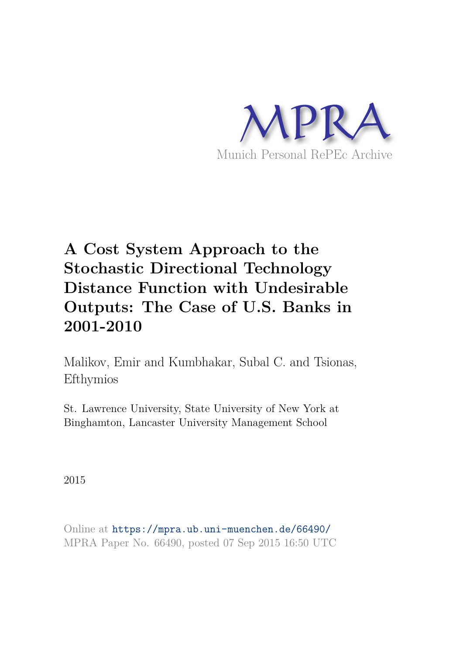

# **A Cost System Approach to the Stochastic Directional Technology Distance Function with Undesirable Outputs: The Case of U.S. Banks in 2001-2010**

Malikov, Emir and Kumbhakar, Subal C. and Tsionas, Efthymios

St. Lawrence University, State University of New York at Binghamton, Lancaster University Management School

2015

Online at https://mpra.ub.uni-muenchen.de/66490/ MPRA Paper No. 66490, posted 07 Sep 2015 16:50 UTC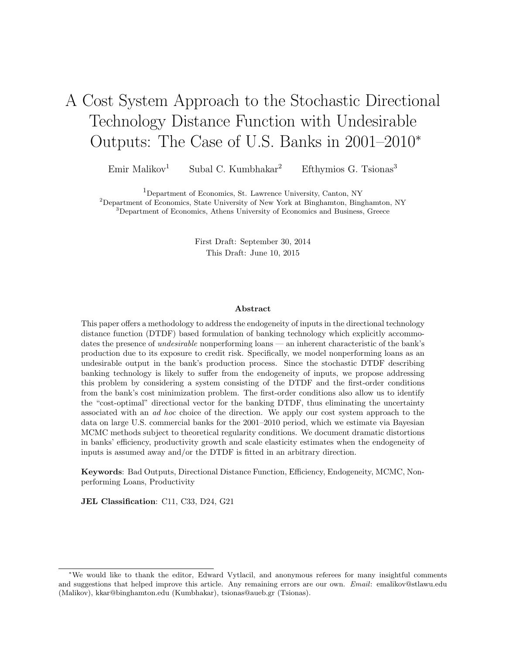# A Cost System Approach to the Stochastic Directional Technology Distance Function with Undesirable Outputs: The Case of U.S. Banks in 2001–2010<sup>∗</sup>

Emir Malikov<sup>1</sup> Subal C. Kumbhakar<sup>2</sup> Efthymios G. Tsionas<sup>3</sup>

<sup>1</sup>Department of Economics, St. Lawrence University, Canton, NY

<sup>2</sup>Department of Economics, State University of New York at Binghamton, Binghamton, NY <sup>3</sup>Department of Economics, Athens University of Economics and Business, Greece

First Draft: September 30, 2014

This Draft: June 10, 2015

#### Abstract

This paper offers a methodology to address the endogeneity of inputs in the directional technology distance function (DTDF) based formulation of banking technology which explicitly accommodates the presence of *undesirable* nonperforming loans — an inherent characteristic of the bank's production due to its exposure to credit risk. Specifically, we model nonperforming loans as an undesirable output in the bank's production process. Since the stochastic DTDF describing banking technology is likely to suffer from the endogeneity of inputs, we propose addressing this problem by considering a system consisting of the DTDF and the first-order conditions from the bank's cost minimization problem. The first-order conditions also allow us to identify the "cost-optimal" directional vector for the banking DTDF, thus eliminating the uncertainty associated with an ad hoc choice of the direction. We apply our cost system approach to the data on large U.S. commercial banks for the 2001–2010 period, which we estimate via Bayesian MCMC methods subject to theoretical regularity conditions. We document dramatic distortions in banks' efficiency, productivity growth and scale elasticity estimates when the endogeneity of inputs is assumed away and/or the DTDF is fitted in an arbitrary direction.

Keywords: Bad Outputs, Directional Distance Function, Efficiency, Endogeneity, MCMC, Nonperforming Loans, Productivity

JEL Classification: C11, C33, D24, G21

<sup>∗</sup>We would like to thank the editor, Edward Vytlacil, and anonymous referees for many insightful comments and suggestions that helped improve this article. Any remaining errors are our own. Email: emalikov@stlawu.edu (Malikov), kkar@binghamton.edu (Kumbhakar), tsionas@aueb.gr (Tsionas).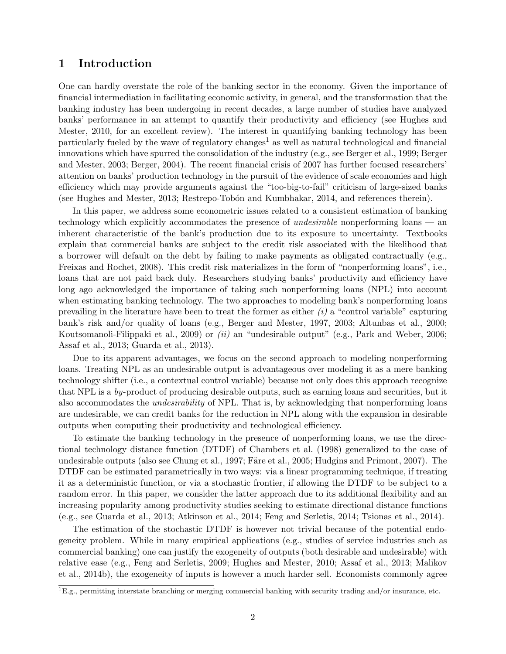## 1 Introduction

One can hardly overstate the role of the banking sector in the economy. Given the importance of financial intermediation in facilitating economic activity, in general, and the transformation that the banking industry has been undergoing in recent decades, a large number of studies have analyzed banks' performance in an attempt to quantify their productivity and efficiency (see Hughes and Mester, 2010, for an excellent review). The interest in quantifying banking technology has been particularly fueled by the wave of regulatory changes<sup>1</sup> as well as natural technological and financial innovations which have spurred the consolidation of the industry (e.g., see Berger et al., 1999; Berger and Mester, 2003; Berger, 2004). The recent financial crisis of 2007 has further focused researchers' attention on banks' production technology in the pursuit of the evidence of scale economies and high efficiency which may provide arguments against the "too-big-to-fail" criticism of large-sized banks (see Hughes and Mester, 2013; Restrepo-Tobón and Kumbhakar, 2014, and references therein).

In this paper, we address some econometric issues related to a consistent estimation of banking technology which explicitly accommodates the presence of *undesirable* nonperforming loans — an inherent characteristic of the bank's production due to its exposure to uncertainty. Textbooks explain that commercial banks are subject to the credit risk associated with the likelihood that a borrower will default on the debt by failing to make payments as obligated contractually (e.g., Freixas and Rochet, 2008). This credit risk materializes in the form of "nonperforming loans", i.e., loans that are not paid back duly. Researchers studying banks' productivity and efficiency have long ago acknowledged the importance of taking such nonperforming loans (NPL) into account when estimating banking technology. The two approaches to modeling bank's nonperforming loans prevailing in the literature have been to treat the former as either  $(i)$  a "control variable" capturing bank's risk and/or quality of loans (e.g., Berger and Mester, 1997, 2003; Altunbas et al., 2000; Koutsomanoli-Filippaki et al., 2009) or (ii) an "undesirable output" (e.g., Park and Weber, 2006; Assaf et al., 2013; Guarda et al., 2013).

Due to its apparent advantages, we focus on the second approach to modeling nonperforming loans. Treating NPL as an undesirable output is advantageous over modeling it as a mere banking technology shifter (i.e., a contextual control variable) because not only does this approach recognize that NPL is a by-product of producing desirable outputs, such as earning loans and securities, but it also accommodates the *undesirability* of NPL. That is, by acknowledging that nonperforming loans are undesirable, we can credit banks for the reduction in NPL along with the expansion in desirable outputs when computing their productivity and technological efficiency.

To estimate the banking technology in the presence of nonperforming loans, we use the directional technology distance function (DTDF) of Chambers et al. (1998) generalized to the case of undesirable outputs (also see Chung et al., 1997; Färe et al., 2005; Hudgins and Primont, 2007). The DTDF can be estimated parametrically in two ways: via a linear programming technique, if treating it as a deterministic function, or via a stochastic frontier, if allowing the DTDF to be subject to a random error. In this paper, we consider the latter approach due to its additional flexibility and an increasing popularity among productivity studies seeking to estimate directional distance functions (e.g., see Guarda et al., 2013; Atkinson et al., 2014; Feng and Serletis, 2014; Tsionas et al., 2014).

The estimation of the stochastic DTDF is however not trivial because of the potential endogeneity problem. While in many empirical applications (e.g., studies of service industries such as commercial banking) one can justify the exogeneity of outputs (both desirable and undesirable) with relative ease (e.g., Feng and Serletis, 2009; Hughes and Mester, 2010; Assaf et al., 2013; Malikov et al., 2014b), the exogeneity of inputs is however a much harder sell. Economists commonly agree

 ${}^{1}E.g.,$  permitting interstate branching or merging commercial banking with security trading and/or insurance, etc.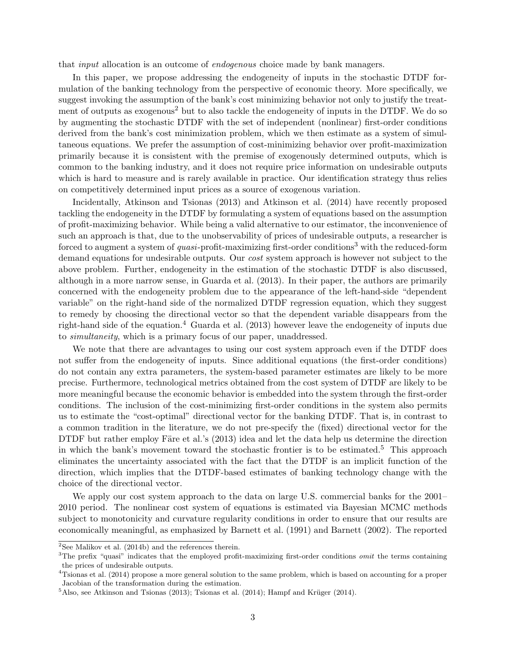that input allocation is an outcome of endogenous choice made by bank managers.

In this paper, we propose addressing the endogeneity of inputs in the stochastic DTDF formulation of the banking technology from the perspective of economic theory. More specifically, we suggest invoking the assumption of the bank's cost minimizing behavior not only to justify the treatment of outputs as exogenous<sup>2</sup> but to also tackle the endogeneity of inputs in the DTDF. We do so by augmenting the stochastic DTDF with the set of independent (nonlinear) first-order conditions derived from the bank's cost minimization problem, which we then estimate as a system of simultaneous equations. We prefer the assumption of cost-minimizing behavior over profit-maximization primarily because it is consistent with the premise of exogenously determined outputs, which is common to the banking industry, and it does not require price information on undesirable outputs which is hard to measure and is rarely available in practice. Our identification strategy thus relies on competitively determined input prices as a source of exogenous variation.

Incidentally, Atkinson and Tsionas (2013) and Atkinson et al. (2014) have recently proposed tackling the endogeneity in the DTDF by formulating a system of equations based on the assumption of profit-maximizing behavior. While being a valid alternative to our estimator, the inconvenience of such an approach is that, due to the unobservability of prices of undesirable outputs, a researcher is forced to augment a system of *quasi*-profit-maximizing first-order conditions<sup>3</sup> with the reduced-form demand equations for undesirable outputs. Our *cost* system approach is however not subject to the above problem. Further, endogeneity in the estimation of the stochastic DTDF is also discussed, although in a more narrow sense, in Guarda et al. (2013). In their paper, the authors are primarily concerned with the endogeneity problem due to the appearance of the left-hand-side "dependent variable" on the right-hand side of the normalized DTDF regression equation, which they suggest to remedy by choosing the directional vector so that the dependent variable disappears from the right-hand side of the equation.<sup>4</sup> Guarda et al. (2013) however leave the endogeneity of inputs due to simultaneity, which is a primary focus of our paper, unaddressed.

We note that there are advantages to using our cost system approach even if the DTDF does not suffer from the endogeneity of inputs. Since additional equations (the first-order conditions) do not contain any extra parameters, the system-based parameter estimates are likely to be more precise. Furthermore, technological metrics obtained from the cost system of DTDF are likely to be more meaningful because the economic behavior is embedded into the system through the first-order conditions. The inclusion of the cost-minimizing first-order conditions in the system also permits us to estimate the "cost-optimal" directional vector for the banking DTDF. That is, in contrast to a common tradition in the literature, we do not pre-specify the (fixed) directional vector for the DTDF but rather employ Färe et al.'s (2013) idea and let the data help us determine the direction in which the bank's movement toward the stochastic frontier is to be estimated.<sup>5</sup> This approach eliminates the uncertainty associated with the fact that the DTDF is an implicit function of the direction, which implies that the DTDF-based estimates of banking technology change with the choice of the directional vector.

We apply our cost system approach to the data on large U.S. commercial banks for the 2001– 2010 period. The nonlinear cost system of equations is estimated via Bayesian MCMC methods subject to monotonicity and curvature regularity conditions in order to ensure that our results are economically meaningful, as emphasized by Barnett et al. (1991) and Barnett (2002). The reported

 ${\rm ^2See}$  Malikov et al. (2014b) and the references therein.

 $3$ The prefix "quasi" indicates that the employed profit-maximizing first-order conditions *omit* the terms containing the prices of undesirable outputs.

<sup>4</sup>Tsionas et al. (2014) propose a more general solution to the same problem, which is based on accounting for a proper Jacobian of the transformation during the estimation.

 $5$ Also, see Atkinson and Tsionas (2013); Tsionas et al. (2014); Hampf and Krüger (2014).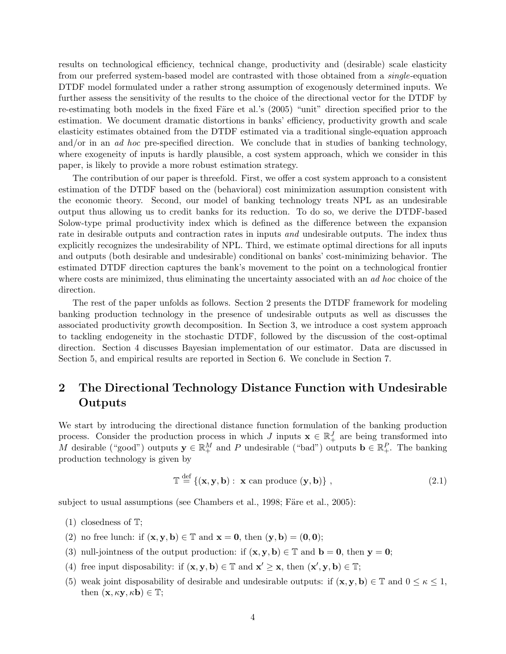results on technological efficiency, technical change, productivity and (desirable) scale elasticity from our preferred system-based model are contrasted with those obtained from a *single*-equation DTDF model formulated under a rather strong assumption of exogenously determined inputs. We further assess the sensitivity of the results to the choice of the directional vector for the DTDF by re-estimating both models in the fixed Färe et al.'s (2005) "unit" direction specified prior to the estimation. We document dramatic distortions in banks' efficiency, productivity growth and scale elasticity estimates obtained from the DTDF estimated via a traditional single-equation approach and/or in an *ad hoc* pre-specified direction. We conclude that in studies of banking technology, where exogeneity of inputs is hardly plausible, a cost system approach, which we consider in this paper, is likely to provide a more robust estimation strategy.

The contribution of our paper is threefold. First, we offer a cost system approach to a consistent estimation of the DTDF based on the (behavioral) cost minimization assumption consistent with the economic theory. Second, our model of banking technology treats NPL as an undesirable output thus allowing us to credit banks for its reduction. To do so, we derive the DTDF-based Solow-type primal productivity index which is defined as the difference between the expansion rate in desirable outputs and contraction rates in inputs *and* undesirable outputs. The index thus explicitly recognizes the undesirability of NPL. Third, we estimate optimal directions for all inputs and outputs (both desirable and undesirable) conditional on banks' cost-minimizing behavior. The estimated DTDF direction captures the bank's movement to the point on a technological frontier where costs are minimized, thus eliminating the uncertainty associated with an ad hoc choice of the direction.

The rest of the paper unfolds as follows. Section 2 presents the DTDF framework for modeling banking production technology in the presence of undesirable outputs as well as discusses the associated productivity growth decomposition. In Section 3, we introduce a cost system approach to tackling endogeneity in the stochastic DTDF, followed by the discussion of the cost-optimal direction. Section 4 discusses Bayesian implementation of our estimator. Data are discussed in Section 5, and empirical results are reported in Section 6. We conclude in Section 7.

## 2 The Directional Technology Distance Function with Undesirable Outputs

We start by introducing the directional distance function formulation of the banking production process. Consider the production process in which J inputs  $\mathbf{x} \in \mathbb{R}^J_+$  are being transformed into M desirable ("good") outputs  $y \in \mathbb{R}^M_+$  and P undesirable ("bad") outputs  $\mathbf{b} \in \mathbb{R}^P_+$ . The banking production technology is given by

$$
\mathbb{T} \stackrel{\text{def}}{=} \{ (\mathbf{x}, \mathbf{y}, \mathbf{b}) : \mathbf{x} \text{ can produce } (\mathbf{y}, \mathbf{b}) \},
$$
\n(2.1)

subject to usual assumptions (see Chambers et al., 1998; Färe et al., 2005):

(1) closedness of T;

- (2) no free lunch: if  $(\mathbf{x}, \mathbf{y}, \mathbf{b}) \in \mathbb{T}$  and  $\mathbf{x} = \mathbf{0}$ , then  $(\mathbf{y}, \mathbf{b}) = (\mathbf{0}, \mathbf{0})$ ;
- (3) null-jointness of the output production: if  $(x, y, b) \in \mathbb{T}$  and  $b = 0$ , then  $y = 0$ ;
- (4) free input disposability: if  $(\mathbf{x}, \mathbf{y}, \mathbf{b}) \in \mathbb{T}$  and  $\mathbf{x}' \geq \mathbf{x}$ , then  $(\mathbf{x}', \mathbf{y}, \mathbf{b}) \in \mathbb{T}$ ;
- (5) weak joint disposability of desirable and undesirable outputs: if  $(\mathbf{x}, \mathbf{y}, \mathbf{b}) \in \mathbb{T}$  and  $0 \leq \kappa \leq 1$ , then  $(\mathbf{x}, \kappa \mathbf{y}, \kappa \mathbf{b}) \in \mathbb{T}$ ;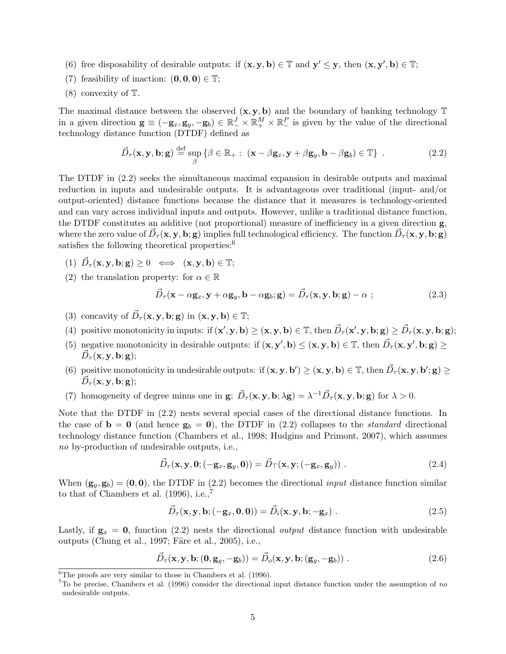- (6) free disposability of desirable outputs: if  $(x, y, b) \in \mathbb{T}$  and  $y' \leq y$ , then  $(x, y', b) \in \mathbb{T}$ ;
- (7) feasibility of inaction:  $(0,0,0) \in \mathbb{T}$ ;
- (8) convexity of T.

The maximal distance between the observed  $(x, y, b)$  and the boundary of banking technology  $\mathbb T$ in a given direction  $\mathbf{g} \equiv (-\mathbf{g}_x, \mathbf{g}_y, -\mathbf{g}_b) \in \mathbb{R}_+^J \times \mathbb{R}_+^M \times \mathbb{R}_-^P$  is given by the value of the directional technology distance function (DTDF) defined as

$$
\vec{D}_{\tau}(\mathbf{x}, \mathbf{y}, \mathbf{b}; \mathbf{g}) \stackrel{\text{def}}{=} \sup_{\beta} \left\{ \beta \in \mathbb{R}_{+}: (\mathbf{x} - \beta \mathbf{g}_{x}, \mathbf{y} + \beta \mathbf{g}_{y}, \mathbf{b} - \beta \mathbf{g}_{b}) \in \mathbb{T} \right\} . \tag{2.2}
$$

The DTDF in (2.2) seeks the simultaneous maximal expansion in desirable outputs and maximal reduction in inputs and undesirable outputs. It is advantageous over traditional (input- and/or output-oriented) distance functions because the distance that it measures is technology-oriented and can vary across individual inputs and outputs. However, unlike a traditional distance function, the DTDF constitutes an additive (not proportional) measure of inefficiency in a given direction g, where the zero value of  $\vec{D}_{\tau}({\bf x},{\bf y},{\bf b};{\bf g})$  implies full technological efficiency. The function  $\vec{D}_{\tau}({\bf x},{\bf y},{\bf b};{\bf g})$ satisfies the following theoretical properties: $6$ 

- (1)  $\vec{D}_{\tau}(\mathbf{x}, \mathbf{y}, \mathbf{b}; \mathbf{g}) \ge 0 \iff (\mathbf{x}, \mathbf{y}, \mathbf{b}) \in \mathbb{T};$
- (2) the translation property: for  $\alpha \in \mathbb{R}$

$$
\vec{D}_{\tau}(\mathbf{x} - \alpha \mathbf{g}_x, \mathbf{y} + \alpha \mathbf{g}_y, \mathbf{b} - \alpha \mathbf{g}_b; \mathbf{g}) = \vec{D}_{\tau}(\mathbf{x}, \mathbf{y}, \mathbf{b}; \mathbf{g}) - \alpha ; \qquad (2.3)
$$

- (3) concavity of  $\vec{D}_{\tau}(\mathbf{x}, \mathbf{y}, \mathbf{b}; \mathbf{g})$  in  $(\mathbf{x}, \mathbf{y}, \mathbf{b}) \in \mathbb{T}$ ;
- (4) positive monotonicity in inputs: if  $(x', y, b) \ge (x, y, b) \in \mathbb{T}$ , then  $\vec{D}_{\tau}(x', y, b; g) \ge \vec{D}_{\tau}(x, y, b; g)$ ;
- (5) negative monotonicity in desirable outputs: if  $(\mathbf{x}, \mathbf{y}', \mathbf{b}) \leq (\mathbf{x}, \mathbf{y}, \mathbf{b}) \in \mathbb{T}$ , then  $\vec{D}_{\tau}(\mathbf{x}, \mathbf{y}', \mathbf{b}; \mathbf{g}) \geq$  $\vec{D}_{\tau}(\mathbf{x},\mathbf{y},\mathbf{b};\mathbf{g});$
- (6) positive monotonicity in undesirable outputs: if  $(\mathbf{x}, \mathbf{y}, \mathbf{b}') \geq (\mathbf{x}, \mathbf{y}, \mathbf{b}) \in \mathbb{T}$ , then  $\vec{D}_{\tau}(\mathbf{x}, \mathbf{y}, \mathbf{b}'; \mathbf{g}) \geq$  $\vec{D}_{\tau}(\mathbf{x},\mathbf{y},\mathbf{b};\mathbf{g});$
- (7) homogeneity of degree minus one in  $\mathbf{g}$ :  $\vec{D}_{\tau}(\mathbf{x}, \mathbf{y}, \mathbf{b}; \lambda \mathbf{g}) = \lambda^{-1} \vec{D}_{\tau}(\mathbf{x}, \mathbf{y}, \mathbf{b}; \mathbf{g})$  for  $\lambda > 0$ .

Note that the DTDF in (2.2) nests several special cases of the directional distance functions. In the case of  $\mathbf{b} = \mathbf{0}$  (and hence  $\mathbf{g}_b = \mathbf{0}$ ), the DTDF in (2.2) collapses to the *standard* directional technology distance function (Chambers et al., 1998; Hudgins and Primont, 2007), which assumes no by-production of undesirable outputs, i.e.,

$$
\vec{D}_{\tau}(\mathbf{x}, \mathbf{y}, \mathbf{0}; (-\mathbf{g}_x, \mathbf{g}_y, \mathbf{0})) = \vec{D}_{\tau}(\mathbf{x}, \mathbf{y}; (-\mathbf{g}_x, \mathbf{g}_y)) . \tag{2.4}
$$

When  $(g_y, g_b) = (0, 0)$ , the DTDF in (2.2) becomes the directional *input* distance function similar to that of Chambers et al.  $(1996)$ , i.e.,<sup>7</sup>

$$
\vec{D}_{\tau}(\mathbf{x}, \mathbf{y}, \mathbf{b}; (-\mathbf{g}_x, \mathbf{0}, \mathbf{0})) = \vec{D}_i(\mathbf{x}, \mathbf{y}, \mathbf{b}; -\mathbf{g}_x) .
$$
\n(2.5)

Lastly, if  $g_x = 0$ , function (2.2) nests the directional *output* distance function with undesirable outputs (Chung et al., 1997; Färe et al., 2005), i.e.,

$$
\vec{D}_{\tau}(\mathbf{x}, \mathbf{y}, \mathbf{b}; (\mathbf{0}, \mathbf{g}_y, -\mathbf{g}_b)) = \vec{D}_o(\mathbf{x}, \mathbf{y}, \mathbf{b}; (\mathbf{g}_y, -\mathbf{g}_b)) . \tag{2.6}
$$

 ${}^{6}$ The proofs are very similar to those in Chambers et al. (1996).

 $7\text{To be precise, Chambers et al. (1996) consider the directional input distance function under the assumption of no.}$ undesirable outputs.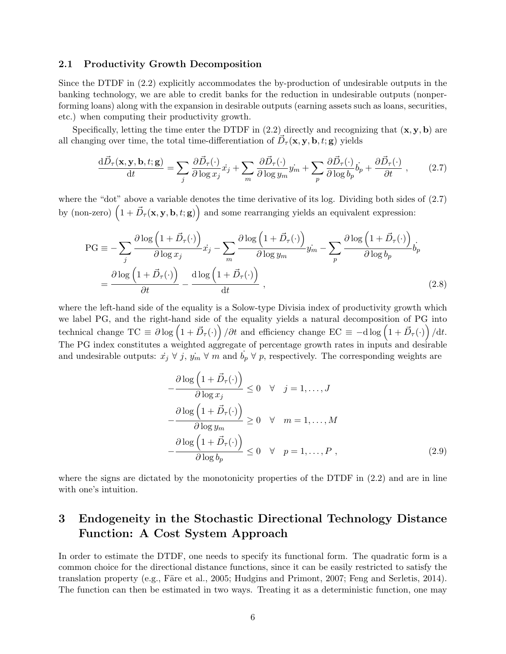#### 2.1 Productivity Growth Decomposition

Since the DTDF in (2.2) explicitly accommodates the by-production of undesirable outputs in the banking technology, we are able to credit banks for the reduction in undesirable outputs (nonperforming loans) along with the expansion in desirable outputs (earning assets such as loans, securities, etc.) when computing their productivity growth.

Specifically, letting the time enter the DTDF in  $(2.2)$  directly and recognizing that  $(\mathbf{x}, \mathbf{y}, \mathbf{b})$  are all changing over time, the total time-differentiation of  $\vec{D}_{\tau}(\mathbf{x}, \mathbf{y}, \mathbf{b}, t; \mathbf{g})$  yields

$$
\frac{\mathrm{d}\vec{D}_{\tau}(\mathbf{x}, \mathbf{y}, \mathbf{b}, t; \mathbf{g})}{\mathrm{d}t} = \sum_{j} \frac{\partial \vec{D}_{\tau}(\cdot)}{\partial \log x_{j}} \dot{x}_{j} + \sum_{m} \frac{\partial \vec{D}_{\tau}(\cdot)}{\partial \log y_{m}} \dot{y}_{m} + \sum_{p} \frac{\partial \vec{D}_{\tau}(\cdot)}{\partial \log b_{p}} \dot{b}_{p} + \frac{\partial \vec{D}_{\tau}(\cdot)}{\partial t} , \qquad (2.7)
$$

where the "dot" above a variable denotes the time derivative of its log. Dividing both sides of (2.7) by (non-zero)  $(1 + \vec{D}_{\tau}(\mathbf{x}, \mathbf{y}, \mathbf{b}, t; \mathbf{g}))$  and some rearranging yields an equivalent expression:

$$
PG \equiv -\sum_{j} \frac{\partial \log \left(1 + \vec{D}_{\tau}(\cdot)\right)}{\partial \log x_{j}} \dot{x}_{j} - \sum_{m} \frac{\partial \log \left(1 + \vec{D}_{\tau}(\cdot)\right)}{\partial \log y_{m}} \dot{y}_{m} - \sum_{p} \frac{\partial \log \left(1 + \vec{D}_{\tau}(\cdot)\right)}{\partial \log b_{p}} \dot{b}_{p}
$$

$$
= \frac{\partial \log \left(1 + \vec{D}_{\tau}(\cdot)\right)}{\partial t} - \frac{\mathrm{d} \log \left(1 + \vec{D}_{\tau}(\cdot)\right)}{\mathrm{d} t}, \qquad (2.8)
$$

where the left-hand side of the equality is a Solow-type Divisia index of productivity growth which we label PG, and the right-hand side of the equality yields a natural decomposition of PG into technical change  $TC \equiv \partial \log (1 + \vec{D}_{\tau}(\cdot)) / \partial t$  and efficiency change  $EC \equiv -d \log (1 + \vec{D}_{\tau}(\cdot)) / dt$ . The PG index constitutes a weighted aggregate of percentage growth rates in inputs and desirable and undesirable outputs:  $\dot{x}_j \forall j, \dot{y}_m \forall m$  and  $b_p \forall p$ , respectively. The corresponding weights are

$$
-\frac{\partial \log (1 + \vec{D}_{\tau}(\cdot))}{\partial \log x_{j}} \leq 0 \quad \forall \quad j = 1, ..., J
$$

$$
-\frac{\partial \log (1 + \vec{D}_{\tau}(\cdot))}{\partial \log y_{m}} \geq 0 \quad \forall \quad m = 1, ..., M
$$

$$
-\frac{\partial \log (1 + \vec{D}_{\tau}(\cdot))}{\partial \log b_{p}} \leq 0 \quad \forall \quad p = 1, ..., P,
$$
(2.9)

where the signs are dictated by the monotonicity properties of the DTDF in  $(2.2)$  and are in line with one's intuition.

## 3 Endogeneity in the Stochastic Directional Technology Distance Function: A Cost System Approach

In order to estimate the DTDF, one needs to specify its functional form. The quadratic form is a common choice for the directional distance functions, since it can be easily restricted to satisfy the translation property (e.g., Färe et al., 2005; Hudgins and Primont, 2007; Feng and Serletis, 2014). The function can then be estimated in two ways. Treating it as a deterministic function, one may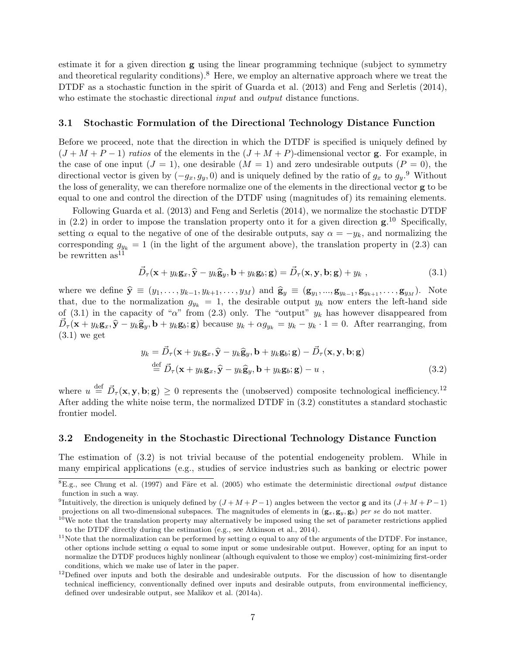estimate it for a given direction  $g$  using the linear programming technique (subject to symmetry and theoretical regularity conditions).<sup>8</sup> Here, we employ an alternative approach where we treat the DTDF as a stochastic function in the spirit of Guarda et al. (2013) and Feng and Serletis (2014), who estimate the stochastic directional *input* and *output* distance functions.

#### 3.1 Stochastic Formulation of the Directional Technology Distance Function

Before we proceed, note that the direction in which the DTDF is specified is uniquely defined by  $(J + M + P - 1)$  ratios of the elements in the  $(J + M + P)$ -dimensional vector **g**. For example, in the case of one input  $(J = 1)$ , one desirable  $(M = 1)$  and zero undesirable outputs  $(P = 0)$ , the directional vector is given by  $(-g_x, g_y, 0)$  and is uniquely defined by the ratio of  $g_x$  to  $g_y$ .<sup>9</sup> Without the loss of generality, we can therefore normalize one of the elements in the directional vector g to be equal to one and control the direction of the DTDF using (magnitudes of) its remaining elements.

Following Guarda et al. (2013) and Feng and Serletis (2014), we normalize the stochastic DTDF in  $(2.2)$  in order to impose the translation property onto it for a given direction  $g^{10}$ . Specifically, setting  $\alpha$  equal to the negative of one of the desirable outputs, say  $\alpha = -y_k$ , and normalizing the corresponding  $g_{y_k} = 1$  (in the light of the argument above), the translation property in (2.3) can be rewritten  $as^{11}$ 

$$
\vec{D}_{\tau}(\mathbf{x} + y_k \mathbf{g}_x, \hat{\mathbf{y}} - y_k \hat{\mathbf{g}}_y, \mathbf{b} + y_k \mathbf{g}_b; \mathbf{g}) = \vec{D}_{\tau}(\mathbf{x}, \mathbf{y}, \mathbf{b}; \mathbf{g}) + y_k,
$$
\n(3.1)

where we define  $\hat{\mathbf{y}} \equiv (y_1, \ldots, y_{k-1}, y_{k+1}, \ldots, y_M)$  and  $\hat{\mathbf{g}}_y \equiv (\mathbf{g}_{y_1}, \ldots, \mathbf{g}_{y_{k-1}}, \mathbf{g}_{y_{k+1}}, \ldots, \mathbf{g}_{y_M})$ . Note that, due to the normalization  $g_{y_k} = 1$ , the desirable output  $y_k$  now enters the left-hand side of (3.1) in the capacity of " $\alpha$ " from (2.3) only. The "output"  $y_k$  has however disappeared from  $\vec{D}_{\tau}(\mathbf{x} + y_k \mathbf{g}_x, \hat{\mathbf{y}} - y_k \hat{\mathbf{g}}_y, \mathbf{b} + y_k \mathbf{g}_b; \mathbf{g})$  because  $y_k + \alpha g_{y_k} = y_k - y_k \cdot 1 = 0$ . After rearranging, from  $(3.1)$  we get

$$
y_k = \vec{D}_{\tau}(\mathbf{x} + y_k \mathbf{g}_x, \hat{\mathbf{y}} - y_k \hat{\mathbf{g}}_y, \mathbf{b} + y_k \mathbf{g}_b; \mathbf{g}) - \vec{D}_{\tau}(\mathbf{x}, \mathbf{y}, \mathbf{b}; \mathbf{g})
$$
  
\n
$$
\stackrel{\text{def}}{=} \vec{D}_{\tau}(\mathbf{x} + y_k \mathbf{g}_x, \hat{\mathbf{y}} - y_k \hat{\mathbf{g}}_y, \mathbf{b} + y_k \mathbf{g}_b; \mathbf{g}) - u ,
$$
\n(3.2)

where  $u \stackrel{\text{def}}{=} \vec{D}_{\tau}(\mathbf{x}, \mathbf{y}, \mathbf{b}; \mathbf{g}) \ge 0$  represents the (unobserved) composite technological inefficiency.<sup>12</sup> After adding the white noise term, the normalized DTDF in (3.2) constitutes a standard stochastic frontier model.

#### 3.2 Endogeneity in the Stochastic Directional Technology Distance Function

The estimation of (3.2) is not trivial because of the potential endogeneity problem. While in many empirical applications (e.g., studies of service industries such as banking or electric power

 ${}^{8}E.g.,$  see Chung et al. (1997) and Färe et al. (2005) who estimate the deterministic directional *output* distance function in such a way.

<sup>&</sup>lt;sup>9</sup>Intuitively, the direction is uniquely defined by  $(J + M + P - 1)$  angles between the vector **g** and its  $(J + M + P - 1)$ projections on all two-dimensional subspaces. The magnitudes of elements in  $(g_x, g_y, g_b)$  per se do not matter.

 $10$ We note that the translation property may alternatively be imposed using the set of parameter restrictions applied to the DTDF directly during the estimation (e.g., see Atkinson et al., 2014).

<sup>&</sup>lt;sup>11</sup>Note that the normalization can be performed by setting  $\alpha$  equal to any of the arguments of the DTDF. For instance, other options include setting  $\alpha$  equal to some input or some undesirable output. However, opting for an input to normalize the DTDF produces highly nonlinear (although equivalent to those we employ) cost-minimizing first-order conditions, which we make use of later in the paper.

 $12$ Defined over inputs and both the desirable and undesirable outputs. For the discussion of how to disentangle technical inefficiency, conventionally defined over inputs and desirable outputs, from environmental inefficiency, defined over undesirable output, see Malikov et al. (2014a).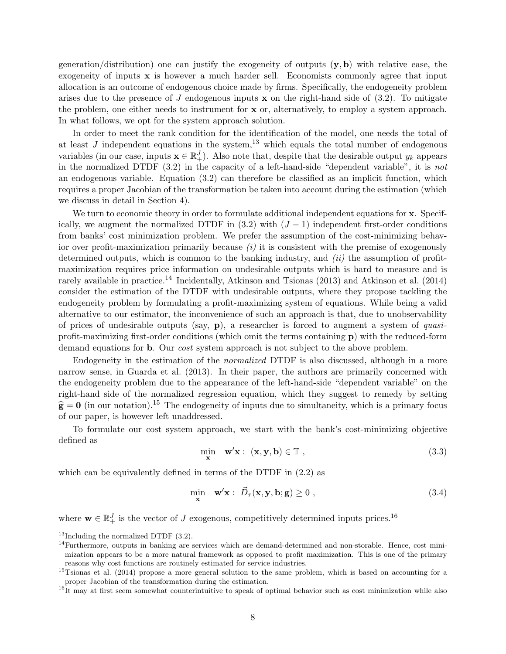generation/distribution) one can justify the exogeneity of outputs  $(y, b)$  with relative ease, the exogeneity of inputs  $x$  is however a much harder sell. Economists commonly agree that input allocation is an outcome of endogenous choice made by firms. Specifically, the endogeneity problem arises due to the presence of J endogenous inputs  $x$  on the right-hand side of (3.2). To mitigate the problem, one either needs to instrument for x or, alternatively, to employ a system approach. In what follows, we opt for the system approach solution.

In order to meet the rank condition for the identification of the model, one needs the total of at least  $J$  independent equations in the system,<sup>13</sup> which equals the total number of endogenous variables (in our case, inputs  $\mathbf{x} \in \mathbb{R}^J_+$ ). Also note that, despite that the desirable output  $y_k$  appears in the normalized DTDF (3.2) in the capacity of a left-hand-side "dependent variable", it is not an endogenous variable. Equation (3.2) can therefore be classified as an implicit function, which requires a proper Jacobian of the transformation be taken into account during the estimation (which we discuss in detail in Section 4).

We turn to economic theory in order to formulate additional independent equations for x. Specifically, we augment the normalized DTDF in  $(3.2)$  with  $(J-1)$  independent first-order conditions from banks' cost minimization problem. We prefer the assumption of the cost-minimizing behavior over profit-maximization primarily because  $(i)$  it is consistent with the premise of exogenously determined outputs, which is common to the banking industry, and  $(ii)$  the assumption of profitmaximization requires price information on undesirable outputs which is hard to measure and is rarely available in practice.<sup>14</sup> Incidentally, Atkinson and Tsionas (2013) and Atkinson et al. (2014) consider the estimation of the DTDF with undesirable outputs, where they propose tackling the endogeneity problem by formulating a profit-maximizing system of equations. While being a valid alternative to our estimator, the inconvenience of such an approach is that, due to unobservability of prices of undesirable outputs (say,  $\bf{p}$ ), a researcher is forced to augment a system of *quasi*profit-maximizing first-order conditions (which omit the terms containing p) with the reduced-form demand equations for **b**. Our *cost* system approach is not subject to the above problem.

Endogeneity in the estimation of the normalized DTDF is also discussed, although in a more narrow sense, in Guarda et al. (2013). In their paper, the authors are primarily concerned with the endogeneity problem due to the appearance of the left-hand-side "dependent variable" on the right-hand side of the normalized regression equation, which they suggest to remedy by setting  $\hat{\mathbf{g}} = \mathbf{0}$  (in our notation).<sup>15</sup> The endogeneity of inputs due to simultaneity, which is a primary focus of our paper, is however left unaddressed.

To formulate our cost system approach, we start with the bank's cost-minimizing objective defined as

$$
\min_{\mathbf{x}} \quad \mathbf{w}'\mathbf{x} : (\mathbf{x}, \mathbf{y}, \mathbf{b}) \in \mathbb{T} \tag{3.3}
$$

which can be equivalently defined in terms of the DTDF in (2.2) as

$$
\min_{\mathbf{x}} \quad \mathbf{w}'\mathbf{x} : \vec{D}_{\tau}(\mathbf{x}, \mathbf{y}, \mathbf{b}; \mathbf{g}) \ge 0 , \tag{3.4}
$$

where  $\mathbf{w} \in \mathbb{R}_+^J$  is the vector of J exogenous, competitively determined inputs prices.<sup>16</sup>

 $13$ Including the normalized DTDF  $(3.2)$ .

 $14$ Furthermore, outputs in banking are services which are demand-determined and non-storable. Hence, cost minimization appears to be a more natural framework as opposed to profit maximization. This is one of the primary reasons why cost functions are routinely estimated for service industries.

<sup>&</sup>lt;sup>15</sup>Tsionas et al. (2014) propose a more general solution to the same problem, which is based on accounting for a proper Jacobian of the transformation during the estimation.

 $16$ It may at first seem somewhat counterintuitive to speak of optimal behavior such as cost minimization while also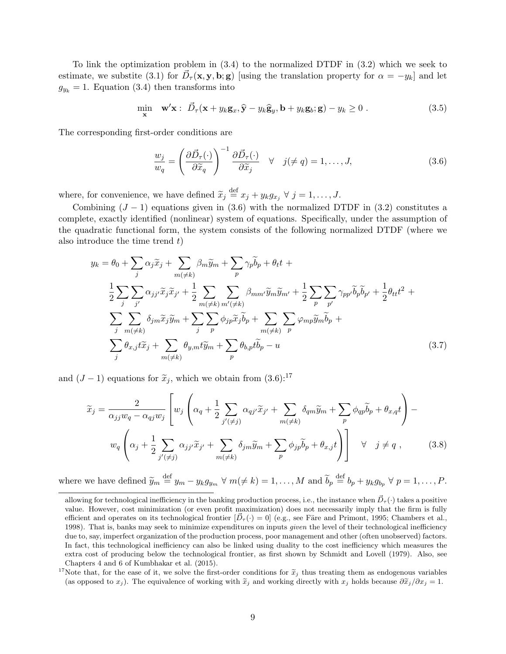To link the optimization problem in (3.4) to the normalized DTDF in (3.2) which we seek to estimate, we substite (3.1) for  $\vec{D}_{\tau}(\mathbf{x}, \mathbf{y}, \mathbf{b}; \mathbf{g})$  [using the translation property for  $\alpha = -y_k$ ] and let  $g_{y_k} = 1$ . Equation (3.4) then transforms into

$$
\min_{\mathbf{x}} \quad \mathbf{w}'\mathbf{x}: \ \vec{D}_{\tau}(\mathbf{x} + y_k \mathbf{g}_x, \hat{\mathbf{y}} - y_k \hat{\mathbf{g}}_y, \mathbf{b} + y_k \mathbf{g}_b; \mathbf{g}) - y_k \ge 0 \ . \tag{3.5}
$$

The corresponding first-order conditions are

$$
\frac{w_j}{w_q} = \left(\frac{\partial \vec{D}_{\tau}(\cdot)}{\partial \widetilde{x}_q}\right)^{-1} \frac{\partial \vec{D}_{\tau}(\cdot)}{\partial \widetilde{x}_j} \quad \forall \quad j(\neq q) = 1, \dots, J,
$$
\n(3.6)

where, for convenience, we have defined  $\widetilde{x}_j \stackrel{\text{def}}{=} x_j + y_k g_{x_j} \ \forall \ j = 1, \ldots, J$ .

Combining  $(J-1)$  equations given in (3.6) with the normalized DTDF in (3.2) constitutes a complete, exactly identified (nonlinear) system of equations. Specifically, under the assumption of the quadratic functional form, the system consists of the following normalized DTDF (where we also introduce the time trend  $t$ )

$$
y_k = \theta_0 + \sum_j \alpha_j \tilde{x}_j + \sum_{m(\neq k)} \beta_m \tilde{y}_m + \sum_p \gamma_p \tilde{b}_p + \theta_t t +
$$
  

$$
\frac{1}{2} \sum_j \sum_{j'} \alpha_{jj'} \tilde{x}_j \tilde{x}_{j'} + \frac{1}{2} \sum_{m(\neq k)} \sum_{m'(\neq k)} \beta_{mm'} \tilde{y}_m \tilde{y}_{m'} + \frac{1}{2} \sum_p \sum_{p'} \gamma_{pp'} \tilde{b}_p \tilde{b}_{p'} + \frac{1}{2} \theta_{tt} t^2 +
$$
  

$$
\sum_j \sum_{m(\neq k)} \delta_{jm} \tilde{x}_j \tilde{y}_m + \sum_j \sum_{p} \phi_{jp} \tilde{x}_j \tilde{b}_p + \sum_{m(\neq k)} \sum_{p} \varphi_{mp} \tilde{y}_m \tilde{b}_p +
$$
  

$$
\sum_j \theta_{x,j} t \tilde{x}_j + \sum_{m(\neq k)} \theta_{y,m} t \tilde{y}_m + \sum_p \theta_{b,p} t \tilde{b}_p - u
$$
 (3.7)

and  $(J-1)$  equations for  $\tilde{x}_i$ , which we obtain from  $(3.6)$ :<sup>17</sup>

$$
\widetilde{x}_j = \frac{2}{\alpha_{jj}w_q - \alpha_{qj}w_j} \left[ w_j \left( \alpha_q + \frac{1}{2} \sum_{j'(\neq j)} \alpha_{qj'} \widetilde{x}_{j'} + \sum_{m(\neq k)} \delta_{qm} \widetilde{y}_m + \sum_p \phi_{qp} \widetilde{b}_p + \theta_{x,q} t \right) - w_q \left( \alpha_j + \frac{1}{2} \sum_{j'(\neq j)} \alpha_{jj'} \widetilde{x}_{j'} + \sum_{m(\neq k)} \delta_{jm} \widetilde{y}_m + \sum_p \phi_{jp} \widetilde{b}_p + \theta_{x,j} t \right) \right] \quad \forall \quad j \neq q , \qquad (3.8)
$$

where we have defined  $\widetilde{y}_m \stackrel{\text{def}}{=} y_m - y_k g_{y_m} \ \forall \ m(\neq k) = 1, \ldots, M$  and  $\widetilde{b}_p \stackrel{\text{def}}{=} b_p + y_k g_{b_p} \ \forall \ p = 1, \ldots, P$ .

allowing for technological inefficiency in the banking production process, i.e., the instance when  $\vec{D}_{\tau}(\cdot)$  takes a positive value. However, cost minimization (or even profit maximization) does not necessarily imply that the firm is fully efficient and operates on its technological frontier  $[\bar{D}_{\tau}(\cdot) = 0]$  (e.g., see Färe and Primont, 1995; Chambers et al., 1998). That is, banks may seek to minimize expenditures on inputs given the level of their technological inefficiency due to, say, imperfect organization of the production process, poor management and other (often unobserved) factors. In fact, this technological inefficiency can also be linked using duality to the cost inefficiency which measures the extra cost of producing below the technological frontier, as first shown by Schmidt and Lovell (1979). Also, see Chapters 4 and 6 of Kumbhakar et al. (2015).

<sup>&</sup>lt;sup>17</sup>Note that, for the ease of it, we solve the first-order conditions for  $\tilde{x}_j$  thus treating them as endogenous variables (as opposed to  $x_j$ ). The equivalence of working with  $\tilde{x}_j$  and working directly with  $x_j$  holds because  $\partial \tilde{x}_j/\partial x_j = 1$ .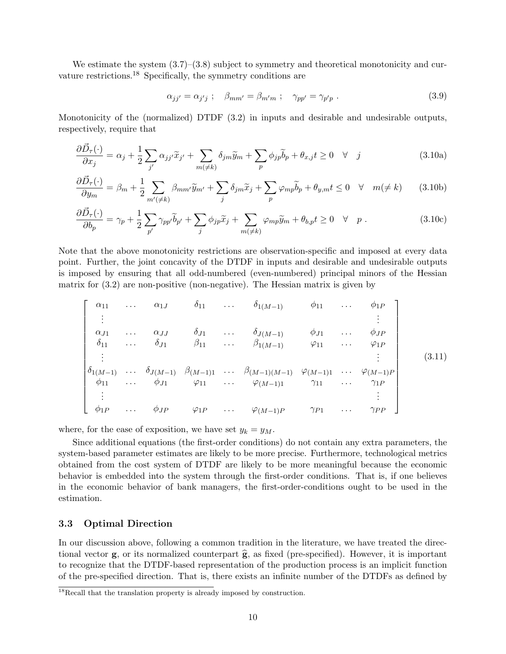We estimate the system  $(3.7)$ – $(3.8)$  subject to symmetry and theoretical monotonicity and curvature restrictions.<sup>18</sup> Specifically, the symmetry conditions are

$$
\alpha_{jj'} = \alpha_{j'j} \; ; \quad \beta_{mm'} = \beta_{m'm} \; ; \quad \gamma_{pp'} = \gamma_{p'p} \; . \tag{3.9}
$$

Monotonicity of the (normalized) DTDF (3.2) in inputs and desirable and undesirable outputs, respectively, require that

$$
\frac{\partial \vec{D}_{\tau}(\cdot)}{\partial x_{j}} = \alpha_{j} + \frac{1}{2} \sum_{j'} \alpha_{jj'} \widetilde{x}_{j'} + \sum_{m(\neq k)} \delta_{jm} \widetilde{y}_{m} + \sum_{p} \phi_{jp} \widetilde{b}_{p} + \theta_{x,j} t \ge 0 \quad \forall \quad j
$$
\n(3.10a)

$$
\frac{\partial \vec{D}_{\tau}(\cdot)}{\partial y_{m}} = \beta_{m} + \frac{1}{2} \sum_{m'(\neq k)} \beta_{mm'} \widetilde{y}_{m'} + \sum_{j} \delta_{jm} \widetilde{x}_{j} + \sum_{p} \varphi_{mp} \widetilde{b}_{p} + \theta_{y,m} t \le 0 \quad \forall \quad m(\neq k)
$$
(3.10b)

$$
\frac{\partial \vec{D}_{\tau}(\cdot)}{\partial b_p} = \gamma_p + \frac{1}{2} \sum_{p'} \gamma_{pp'} \tilde{b}_{p'} + \sum_{j} \phi_{jp} \tilde{x}_j + \sum_{m(\neq k)} \varphi_{mp} \tilde{y}_m + \theta_{b,p} t \ge 0 \quad \forall \quad p.
$$
 (3.10c)

Note that the above monotonicity restrictions are observation-specific and imposed at every data point. Further, the joint concavity of the DTDF in inputs and desirable and undesirable outputs is imposed by ensuring that all odd-numbered (even-numbered) principal minors of the Hessian matrix for (3.2) are non-positive (non-negative). The Hessian matrix is given by

$$
\begin{bmatrix}\n\alpha_{11} & \cdots & \alpha_{1J} & \delta_{11} & \cdots & \delta_{1(M-1)} & \phi_{11} & \cdots & \phi_{1P} \\
\vdots & & & & & & \vdots \\
\alpha_{J1} & \cdots & \alpha_{JJ} & \delta_{J1} & \cdots & \delta_{J(M-1)} & \phi_{J1} & \cdots & \phi_{JP} \\
\delta_{11} & \cdots & \delta_{J1} & \beta_{11} & \cdots & \beta_{1(M-1)} & \varphi_{11} & \cdots & \varphi_{1P} \\
\vdots & & & & & \vdots \\
\delta_{1(M-1)} & \cdots & \delta_{J(M-1)} & \beta_{(M-1)1} & \cdots & \beta_{(M-1)(M-1)} & \varphi_{(M-1)1} & \cdots & \varphi_{(M-1)P} \\
\phi_{11} & \cdots & \phi_{J1} & \varphi_{11} & \cdots & \varphi_{(M-1)1} & \gamma_{11} & \cdots & \gamma_{1P} \\
\vdots & & & & & \vdots \\
\phi_{1P} & \cdots & \phi_{JP} & \varphi_{1P} & \cdots & \varphi_{(M-1)P} & \gamma_{P1} & \cdots & \gamma_{PP}\n\end{bmatrix}
$$
\n(3.11)

where, for the ease of exposition, we have set  $y_k = y_M$ .

Since additional equations (the first-order conditions) do not contain any extra parameters, the system-based parameter estimates are likely to be more precise. Furthermore, technological metrics obtained from the cost system of DTDF are likely to be more meaningful because the economic behavior is embedded into the system through the first-order conditions. That is, if one believes in the economic behavior of bank managers, the first-order-conditions ought to be used in the estimation.

#### 3.3 Optimal Direction

In our discussion above, following a common tradition in the literature, we have treated the directional vector  $g$ , or its normalized counterpart  $\hat{g}$ , as fixed (pre-specified). However, it is important to recognize that the DTDF-based representation of the production process is an implicit function of the pre-specified direction. That is, there exists an infinite number of the DTDFs as defined by

<sup>&</sup>lt;sup>18</sup>Recall that the translation property is already imposed by construction.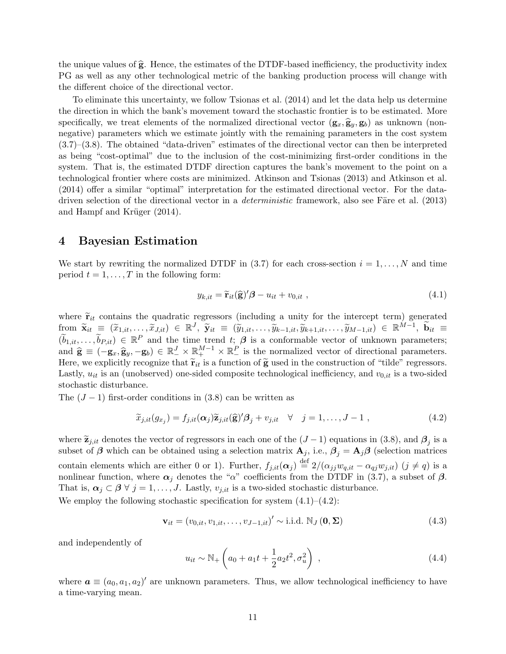the unique values of  $\hat{g}$ . Hence, the estimates of the DTDF-based inefficiency, the productivity index PG as well as any other technological metric of the banking production process will change with the different choice of the directional vector.

To eliminate this uncertainty, we follow Tsionas et al. (2014) and let the data help us determine the direction in which the bank's movement toward the stochastic frontier is to be estimated. More specifically, we treat elements of the normalized directional vector  $(g_x, \hat{g}_y, g_b)$  as unknown (nonnegative) parameters which we estimate jointly with the remaining parameters in the cost system (3.7)–(3.8). The obtained "data-driven" estimates of the directional vector can then be interpreted as being "cost-optimal" due to the inclusion of the cost-minimizing first-order conditions in the system. That is, the estimated DTDF direction captures the bank's movement to the point on a technological frontier where costs are minimized. Atkinson and Tsionas (2013) and Atkinson et al. (2014) offer a similar "optimal" interpretation for the estimated directional vector. For the datadriven selection of the directional vector in a *deterministic* framework, also see Färe et al.  $(2013)$ and Hampf and Krüger  $(2014)$ .

### 4 Bayesian Estimation

We start by rewriting the normalized DTDF in (3.7) for each cross-section  $i = 1, ..., N$  and time period  $t = 1, \ldots, T$  in the following form:

$$
y_{k,it} = \widetilde{\mathbf{r}}_{it}(\widehat{\mathbf{g}})' \boldsymbol{\beta} - u_{it} + v_{0,it} \tag{4.1}
$$

where  $\tilde{\mathbf{r}}_{it}$  contains the quadratic regressors (including a unity for the intercept term) generated  $\begin{array}{rclclcl} \text{from} & \widetilde{\mathbf{x}}_{it} \; \equiv \; (\widetilde{x}_{1, it}, \ldots, \widetilde{x}_{J, it}) \; \in \; \mathbb{R}^{J}, \; \widetilde{\mathbf{y}}_{it} \; \equiv \; (\widetilde{y}_{1, it}, \ldots, \widetilde{y}_{k-1, it}, \widetilde{y}_{k+1, it}, \ldots, \widetilde{y}_{M-1, it}) \; \in \; \mathbb{R}^{M-1}, \; \widetilde{\mathbf{b}}_{it} \; \equiv \; \widetilde{x}_{1, it} \; \widetilde{\mathbf{b}}_{it} \; \equiv \$  $(\widetilde{b}_{1,it}, \ldots, \widetilde{b}_{P,it}) \in \mathbb{R}^P$  and the time trend  $t_i \beta$  is a conformable vector of unknown parameters; and  $\hat{\mathbf{g}} \equiv (-\mathbf{g}_x, \hat{\mathbf{g}}_y, -\mathbf{g}_b) \in \mathbb{R}^J \times \mathbb{R}^{M-1} \times \mathbb{R}^P$  is the normalized vector of directional parameters. Here, we explicitly recognize that  $\tilde{\mathbf{r}}_{it}$  is a function of  $\tilde{\mathbf{g}}$  used in the construction of "tilde" regressors. Lastly,  $u_{it}$  is an (unobserved) one-sided composite technological inefficiency, and  $v_{0,it}$  is a two-sided stochastic disturbance.

The  $(J-1)$  first-order conditions in  $(3.8)$  can be written as

$$
\widetilde{x}_{j,it}(g_{x_j}) = f_{j,it}(\alpha_j)\widetilde{z}_{j,it}(\widehat{\mathbf{g}})'\beta_j + v_{j,it} \quad \forall \quad j = 1,\dots, J-1 \tag{4.2}
$$

where  $\widetilde{\mathbf{z}}_{j, it}$  denotes the vector of regressors in each one of the  $(J-1)$  equations in (3.8), and  $\beta_j$  is a subset of  $\beta$  which can be obtained using a selection matrix  $\mathbf{A}_j$ , i.e.,  $\beta_j = \mathbf{A}_j \beta$  (selection matrices contain elements which are either 0 or 1). Further,  $f_{j,it}(\alpha_j) \stackrel{\text{def}}{=} 2/(\alpha_{jj}w_{q,it} - \alpha_{qj}w_{j,it})$   $(j \neq q)$  is a nonlinear function, where  $\alpha_i$  denotes the "α" coefficients from the DTDF in (3.7), a subset of  $\beta$ . That is,  $\alpha_j \subset \beta \ \forall \ j = 1, \ldots, J$ . Lastly,  $v_{j, it}$  is a two-sided stochastic disturbance. We employ the following stochastic specification for system  $(4.1)$ – $(4.2)$ :

$$
\mathbf{v}_{it} = (v_{0,it}, v_{1,it}, \dots, v_{J-1,it})' \sim \text{i.i.d. } \mathbb{N}_J(\mathbf{0}, \Sigma)
$$
\n(4.3)

and independently of

$$
u_{it} \sim \mathbb{N}_+ \left( a_0 + a_1 t + \frac{1}{2} a_2 t^2, \sigma_u^2 \right) , \qquad (4.4)
$$

where  $\mathbf{a} \equiv (a_0, a_1, a_2)'$  are unknown parameters. Thus, we allow technological inefficiency to have a time-varying mean.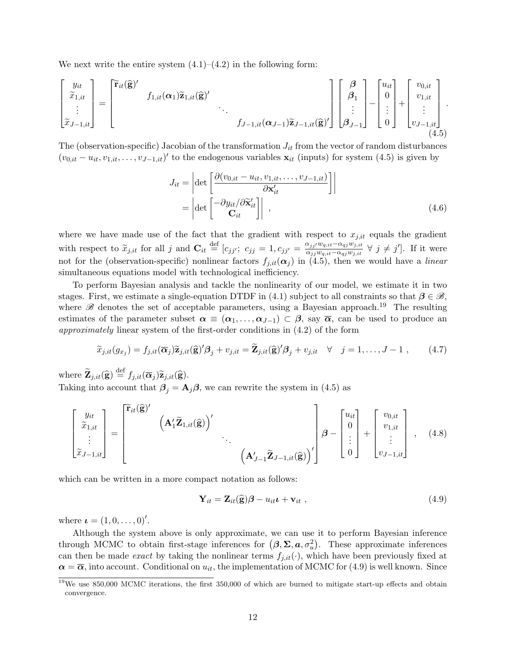We next write the entire system  $(4.1)$ – $(4.2)$  in the following form:

$$
\begin{bmatrix} y_{it} \\ \tilde{x}_{1,it} \\ \vdots \\ \tilde{x}_{J-1,it} \end{bmatrix} = \begin{bmatrix} \tilde{\mathbf{r}}_{it}(\hat{\mathbf{g}})' \\ f_{1,it}(\alpha_1) \tilde{\mathbf{z}}_{1,it}(\hat{\mathbf{g}})' \\ \vdots \\ f_{J-1,it}(\alpha_{J-1}) \tilde{\mathbf{z}}_{J-1,it}(\hat{\mathbf{g}})' \end{bmatrix} \begin{bmatrix} \boldsymbol{\beta} \\ \boldsymbol{\beta}_1 \\ \vdots \\ \boldsymbol{\beta}_{J-1} \end{bmatrix} - \begin{bmatrix} u_{it} \\ 0 \\ \vdots \\ 0 \end{bmatrix} + \begin{bmatrix} v_{0,it} \\ v_{1,it} \\ \vdots \\ v_{J-1,it} \end{bmatrix}.
$$
\n(4.5)

The (observation-specific) Jacobian of the transformation  $J_{it}$  from the vector of random disturbances  $(v_{0,it}-u_{it},v_{1,it},\ldots,v_{J-1,it})'$  to the endogenous variables  $\mathbf{x}_{it}$  (inputs) for system (4.5) is given by

$$
J_{it} = \left| \det \left[ \frac{\partial (v_{0,it} - u_{it}, v_{1,it}, \dots, v_{J-1,it})}{\partial \mathbf{x}'_{it}} \right] \right|
$$
  
= 
$$
\left| \det \left[ \frac{-\partial y_{it}}{\mathbf{C}_{it}} / \frac{\partial \widetilde{\mathbf{x}}'_{it}}{\partial \mathbf{x}'_{it}} \right] \right| ,
$$
 (4.6)

where we have made use of the fact that the gradient with respect to  $x_{j,it}$  equals the gradient with respect to  $\tilde{x}_{j,it}$  for all j and  $\mathbf{C}_{it} \stackrel{\text{def}}{=} [c_{jj'}; c_{jj} = 1, c_{jj'} = \frac{\alpha_{jj'}w_{q,it} - \alpha_{qj}w_{j,it}}{\alpha_{jj}w_{q,it} - \alpha_{qj}w_{j,it}}$  $\frac{\alpha_{jj'}w_{q,it}-\alpha_{qj}w_{j,it}}{\alpha_{jj}w_{q,it}-\alpha_{qj}w_{j,it}}$   $\forall j \neq j'$ . If it were not for the (observation-specific) nonlinear factors  $f_{j,it}(\alpha_j)$  in (4.5), then we would have a *linear* simultaneous equations model with technological inefficiency.

To perform Bayesian analysis and tackle the nonlinearity of our model, we estimate it in two stages. First, we estimate a single-equation DTDF in (4.1) subject to all constraints so that  $\beta \in \mathcal{B}$ , where  $\mathscr B$  denotes the set of acceptable parameters, using a Bayesian approach.<sup>19</sup> The resulting estimates of the parameter subset  $\alpha \equiv (\alpha_1, \ldots, \alpha_{J-1}) \subset \beta$ , say  $\overline{\alpha}$ , can be used to produce an approximately linear system of the first-order conditions in (4.2) of the form

$$
\widetilde{x}_{j,it}(g_{x_j}) = f_{j,it}(\overline{\alpha}_j)\widetilde{z}_{j,it}(\widehat{\mathbf{g}})'\mathcal{B}_j + v_{j,it} = \widetilde{\mathbf{Z}}_{j,it}(\widehat{\mathbf{g}})'\mathcal{B}_j + v_{j,it} \quad \forall \quad j = 1,\dots, J-1 ,\qquad(4.7)
$$

where  $\widetilde{\mathbf{Z}}_{j, it}(\widehat{\mathbf{g}}) \stackrel{\text{def}}{=} f_{j, it}(\overline{\boldsymbol{\alpha}}_j) \widetilde{\mathbf{z}}_{j, it}(\widehat{\mathbf{g}}).$ Taking into account that  $\beta_j = A_j \beta$ , we can rewrite the system in (4.5) as

$$
\begin{bmatrix} y_{it} \\ \tilde{x}_{1,it} \\ \vdots \\ \tilde{x}_{J-1,it} \end{bmatrix} = \begin{bmatrix} \tilde{\mathbf{r}}_{it}(\hat{\mathbf{g}})' \\ \begin{bmatrix} \mathbf{A}'_1 \tilde{\mathbf{Z}}_{1,it}(\hat{\mathbf{g}}) \end{bmatrix}' \\ \begin{bmatrix} \mathbf{A}'_1 \tilde{\mathbf{Z}}_{1,it}(\hat{\mathbf{g}}) \end{bmatrix}' \\ \begin{bmatrix} \mathbf{A}'_{J-1} \tilde{\mathbf{Z}}_{J-1,it}(\hat{\mathbf{g}}) \end{bmatrix}' \end{bmatrix} \boldsymbol{\beta} - \begin{bmatrix} u_{it} \\ 0 \\ \vdots \\ 0 \end{bmatrix} + \begin{bmatrix} v_{0,it} \\ v_{1,it} \\ \vdots \\ v_{J-1,it} \end{bmatrix}, \quad (4.8)
$$

which can be written in a more compact notation as follows:

$$
\mathbf{Y}_{it} = \mathbf{Z}_{it}(\widehat{\mathbf{g}})\boldsymbol{\beta} - u_{it}\boldsymbol{\iota} + \mathbf{v}_{it} \tag{4.9}
$$

where  $\iota = (1, 0, \ldots, 0)'.$ 

Although the system above is only approximate, we can use it to perform Bayesian inference through MCMC to obtain first-stage inferences for  $(\beta, \Sigma, a, \sigma_u^2)$ . These approximate inferences can then be made *exact* by taking the nonlinear terms  $f_{j,it}(\cdot)$ , which have been previously fixed at  $\alpha = \overline{\alpha}$ , into account. Conditional on  $u_{it}$ , the implementation of MCMC for (4.9) is well known. Since

 $19$ We use 850,000 MCMC iterations, the first 350,000 of which are burned to mitigate start-up effects and obtain convergence.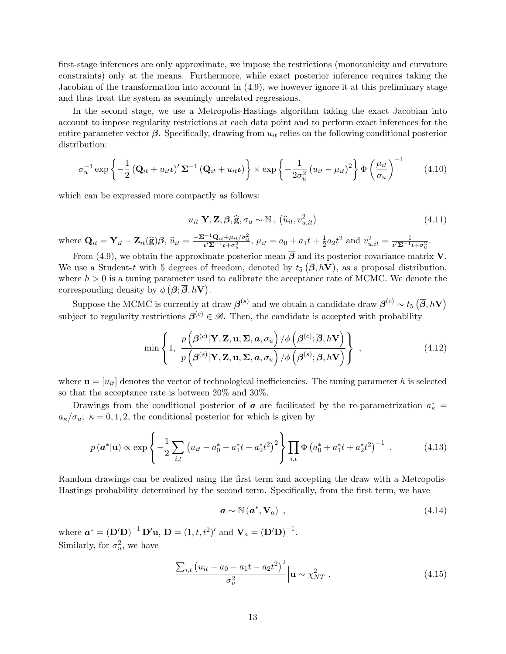first-stage inferences are only approximate, we impose the restrictions (monotonicity and curvature constraints) only at the means. Furthermore, while exact posterior inference requires taking the Jacobian of the transformation into account in (4.9), we however ignore it at this preliminary stage and thus treat the system as seemingly unrelated regressions.

In the second stage, we use a Metropolis-Hastings algorithm taking the exact Jacobian into account to impose regularity restrictions at each data point and to perform exact inferences for the entire parameter vector  $\beta$ . Specifically, drawing from  $u_{it}$  relies on the following conditional posterior distribution:

$$
\sigma_u^{-1} \exp\left\{-\frac{1}{2} \left(\mathbf{Q}_{it} + u_{it} \boldsymbol{\iota}\right)' \boldsymbol{\Sigma}^{-1} \left(\mathbf{Q}_{it} + u_{it} \boldsymbol{\iota}\right)\right\} \times \exp\left\{-\frac{1}{2\sigma_u^2} \left(u_{it} - \mu_{it}\right)^2\right\} \Phi\left(\frac{\mu_{it}}{\sigma_u}\right)^{-1} \tag{4.10}
$$

which can be expressed more compactly as follows:

$$
u_{it}|\mathbf{Y},\mathbf{Z},\boldsymbol{\beta},\widehat{\mathbf{g}},\sigma_u \sim \mathbb{N}_+\left(\widehat{u}_{it},v_{u,it}^2\right)
$$
\n(4.11)

where  $\mathbf{Q}_{it} = \mathbf{Y}_{it} - \mathbf{Z}_{it}(\hat{\mathbf{g}})\boldsymbol{\beta}, \hat{u}_{it} = \frac{-\Sigma^{-1}\mathbf{Q}_{it} + \mu_{it}/\sigma_u^2}{\nu \Sigma^{-1}\iota + \sigma_u^2}, \mu_{it} = a_0 + a_1t + \frac{1}{2}$  $\frac{1}{2}a_2t^2$  and  $v_{u,it}^2 = \frac{1}{\iota'\Sigma^{-1}\iota + \sigma_u^2}$ .

From (4.9), we obtain the approximate posterior mean  $\overline{\beta}$  and its posterior covariance matrix **V**. We use a Student-t with 5 degrees of freedom, denoted by  $t_5(\overline{\beta}, hV)$ , as a proposal distribution, where  $h > 0$  is a tuning parameter used to calibrate the acceptance rate of MCMC. We denote the corresponding density by  $\phi(\beta; \overline{\beta}, hV)$ .

Suppose the MCMC is currently at draw  $\boldsymbol{\beta}^{(s)}$  and we obtain a candidate draw  $\boldsymbol{\beta}^{(c)} \sim t_5 \left(\overline{\boldsymbol{\beta}}, h{\bf V}\right)$ subject to regularity restrictions  $\beta^{(c)} \in \mathcal{B}$ . Then, the candidate is accepted with probability

$$
\min\left\{1,\ \frac{p\left(\beta^{(c)}|\mathbf{Y},\mathbf{Z},\mathbf{u},\mathbf{\Sigma},\mathbf{a},\sigma_u\right)/\phi\left(\beta^{(c)};\overline{\beta},h\mathbf{V}\right)}{p\left(\beta^{(s)}|\mathbf{Y},\mathbf{Z},\mathbf{u},\mathbf{\Sigma},\mathbf{a},\sigma_u\right)/\phi\left(\beta^{(s)};\overline{\beta},h\mathbf{V}\right)}\right\},\tag{4.12}
$$

where  $\mathbf{u} = [u_{it}]$  denotes the vector of technological inefficiencies. The tuning parameter h is selected so that the acceptance rate is between 20% and 30%.

Drawings from the conditional posterior of  $\boldsymbol{a}$  are facilitated by the re-parametrization  $a_{\kappa}^* =$  $a_{\kappa}/\sigma_u$ ;  $\kappa = 0, 1, 2$ , the conditional posterior for which is given by

$$
p(\boldsymbol{a}^*|\mathbf{u}) \propto \exp\left\{-\frac{1}{2}\sum_{i,t}\left(u_{it} - a_0^* - a_1^*t - a_2^*t^2\right)^2\right\}\prod_{i,t}\Phi\left(a_0^* + a_1^*t + a_2^*t^2\right)^{-1}.
$$
 (4.13)

Random drawings can be realized using the first term and accepting the draw with a Metropolis-Hastings probability determined by the second term. Specifically, from the first term, we have

$$
\mathbf{a} \sim \mathbb{N} \left( \mathbf{a}^*, \mathbf{V}_a \right) , \tag{4.14}
$$

where  $a^* = (D'D)^{-1} D'u$ ,  $D = (1, t, t^2)'$  and  $V_a = (D'D)^{-1}$ . Similarly, for  $\sigma_u^2$ , we have

$$
\frac{\sum_{i,t} (u_{it} - a_0 - a_1 t - a_2 t^2)^2}{\sigma_u^2} \Big| \mathbf{u} \sim \chi_{NT}^2 . \tag{4.15}
$$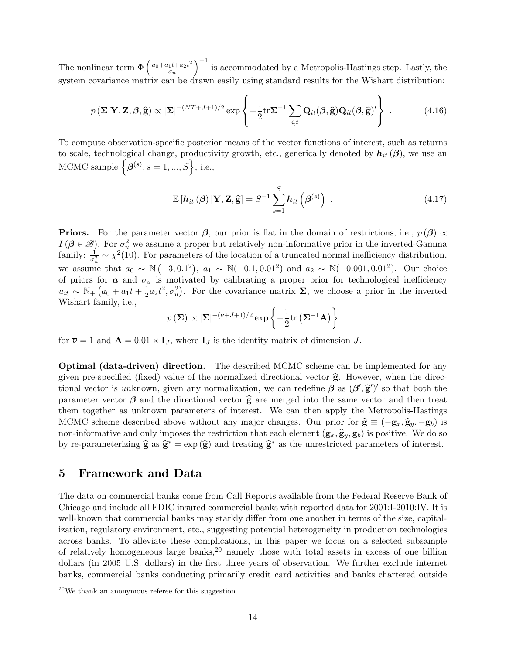The nonlinear term  $\Phi\left(\frac{a_0+a_1t+a_2t^2}{\sigma\sigma\sigma} \right)$  $\sigma_u$  $\int^{-1}$  is accommodated by a Metropolis-Hastings step. Lastly, the system covariance matrix can be drawn easily using standard results for the Wishart distribution:

$$
p\left(\mathbf{\Sigma}|\mathbf{Y},\mathbf{Z},\boldsymbol{\beta},\widehat{\mathbf{g}}\right) \propto |\mathbf{\Sigma}|^{-(NT+J+1)/2} \exp\left\{-\frac{1}{2}\mathrm{tr}\mathbf{\Sigma}^{-1}\sum_{i,t}\mathbf{Q}_{it}(\boldsymbol{\beta},\widehat{\mathbf{g}})\mathbf{Q}_{it}(\boldsymbol{\beta},\widehat{\mathbf{g}})'\right\}.
$$
 (4.16)

To compute observation-specific posterior means of the vector functions of interest, such as returns to scale, technological change, productivity growth, etc., generically denoted by  $h_{it}(\beta)$ , we use an MCMC sample  $\left\{\mathcal{A}^{(s)}, s=1,\ldots,S\right\}$ , i.e.,

$$
\mathbb{E}\left[\boldsymbol{h}_{it}\left(\boldsymbol{\beta}\right)|\mathbf{Y},\mathbf{Z},\widehat{\mathbf{g}}\right]=S^{-1}\sum_{s=1}^{S}\boldsymbol{h}_{it}\left(\boldsymbol{\beta}^{(s)}\right) . \tag{4.17}
$$

**Priors.** For the parameter vector  $\beta$ , our prior is flat in the domain of restrictions, i.e.,  $p(\beta) \propto$  $I(\boldsymbol{\beta} \in \mathscr{B})$ . For  $\sigma_u^2$  we assume a proper but relatively non-informative prior in the inverted-Gamma family:  $\frac{1}{\sigma_u^2} \sim \chi^2(10)$ . For parameters of the location of a truncated normal inefficiency distribution, we assume that  $a_0 \sim \mathbb{N}(-3, 0.1^2)$ ,  $a_1 \sim \mathbb{N}(-0.1, 0.01^2)$  and  $a_2 \sim \mathbb{N}(-0.001, 0.01^2)$ . Our choice of priors for  $\boldsymbol{a}$  and  $\sigma_u$  is motivated by calibrating a proper prior for technological inefficiency  $u_{it} \sim \mathbb{N}_+ (a_0 + a_1 t + \frac{1}{2})$  $\frac{1}{2}a_2t^2, \sigma_u^2$ ). For the covariance matrix  $\Sigma$ , we choose a prior in the inverted Wishart family, i.e.,

$$
p(\Sigma) \propto |\Sigma|^{-(\overline{\nu}+J+1)/2} \exp \left\{-\frac{1}{2} \text{tr}(\Sigma^{-1} \overline{\mathbf{A}})\right\}
$$

for  $\overline{\nu} = 1$  and  $\overline{\mathbf{A}} = 0.01 \times \mathbf{I}_J$ , where  $\mathbf{I}_J$  is the identity matrix of dimension J.

Optimal (data-driven) direction. The described MCMC scheme can be implemented for any given pre-specified (fixed) value of the normalized directional vector  $\hat{g}$ . However, when the directional vector is unknown, given any normalization, we can redefine  $\beta$  as  $(\beta', \hat{g}')'$  so that both the parameter vector  $\beta$  and the directional vector  $\hat{g}$  are merged into the same vector and then treat them together as unknown parameters of interest. We can then apply the Metropolis-Hastings MCMC scheme described above without any major changes. Our prior for  $\hat{\mathbf{g}} \equiv (-\mathbf{g}_x, \hat{\mathbf{g}}_y, -\mathbf{g}_b)$  is non-informative and only imposes the restriction that each element  $(g_x, \hat{g}_y, g_b)$  is positive. We do so by re-parameterizing  $\hat{\mathbf{g}}$  as  $\hat{\mathbf{g}}^* = \exp(\hat{\mathbf{g}})$  and treating  $\hat{\mathbf{g}}^*$  as the unrestricted parameters of interest.

## 5 Framework and Data

The data on commercial banks come from Call Reports available from the Federal Reserve Bank of Chicago and include all FDIC insured commercial banks with reported data for 2001:I-2010:IV. It is well-known that commercial banks may starkly differ from one another in terms of the size, capitalization, regulatory environment, etc., suggesting potential heterogeneity in production technologies across banks. To alleviate these complications, in this paper we focus on a selected subsample of relatively homogeneous large banks,  $20$  namely those with total assets in excess of one billion dollars (in 2005 U.S. dollars) in the first three years of observation. We further exclude internet banks, commercial banks conducting primarily credit card activities and banks chartered outside

<sup>20</sup>We thank an anonymous referee for this suggestion.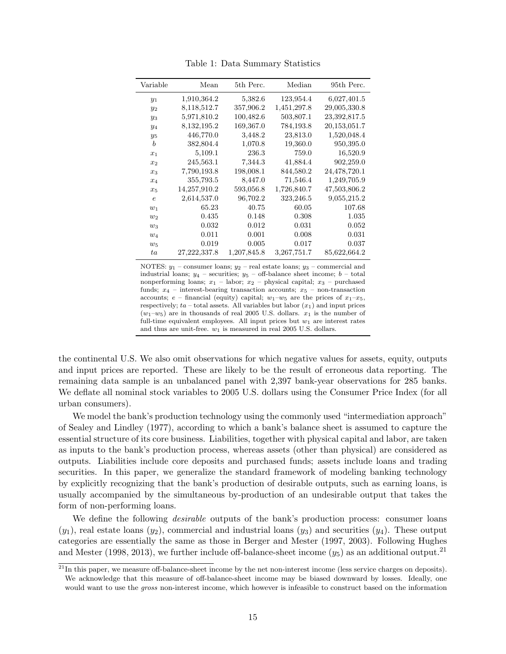| Variable   | Mean           | 5th Perc.   | Median        | 95th Perc.   |
|------------|----------------|-------------|---------------|--------------|
| $y_1$      | 1,910,364.2    | 5,382.6     | 123,954.4     | 6,027,401.5  |
| $y_2$      | 8,118,512.7    | 357,906.2   | 1,451,297.8   | 29,005,330.8 |
| $y_3$      | 5,971,810.2    | 100,482.6   | 503,807.1     | 23,392,817.5 |
| $y_4$      | 8, 132, 195. 2 | 169,367.0   | 784,193.8     | 20,153,051.7 |
| $y_5$      | 446,770.0      | 3,448.2     | 23,813.0      | 1,520,048.4  |
| b          | 382,804.4      | 1,070.8     | 19,360.0      | 950,395.0    |
| $x_1$      | 5,109.1        | 236.3       | 759.0         | 16,520.9     |
| $x_2$      | 245,563.1      | 7,344.3     | 41,884.4      | 902,259.0    |
| $x_3$      | 7,790,193.8    | 198,008.1   | 844,580.2     | 24,478,720.1 |
| $x_4$      | 355,793.5      | 8,447.0     | 71,546.4      | 1,249,705.9  |
| $x_5$      | 14,257,910.2   | 593,056.8   | 1,726,840.7   | 47,503,806.2 |
| $\epsilon$ | 2,614,537.0    | 96,702.2    | 323,246.5     | 9,055,215.2  |
| $w_1$      | 65.23          | 40.75       | 60.05         | 107.68       |
| $w_2$      | 0.435          | 0.148       | 0.308         | 1.035        |
| $w_3$      | 0.032          | 0.012       | 0.031         | 0.052        |
| $w_4$      | 0.011          | 0.001       | 0.008         | 0.031        |
| $w_5$      | 0.019          | 0.005       | 0.017         | 0.037        |
| ta         | 27, 222, 337.8 | 1,207,845.8 | 3, 267, 751.7 | 85,622,664.2 |

Table 1: Data Summary Statistics

NOTES:  $y_1$  – consumer loans;  $y_2$  – real estate loans;  $y_3$  – commercial and industrial loans;  $y_4$  – securities;  $y_5$  – off-balance sheet income;  $b$  – total nonperforming loans;  $x_1$  – labor;  $x_2$  – physical capital;  $x_3$  – purchased funds;  $x_4$  – interest-bearing transaction accounts;  $x_5$  – non-transaction accounts;  $e$  – financial (equity) capital;  $w_1-w_5$  are the prices of  $x_1-x_5$ , respectively;  $ta$  – total assets. All variables but labor  $(x_1)$  and input prices  $(w_1-w_5)$  are in thousands of real 2005 U.S. dollars.  $x_1$  is the number of full-time equivalent employees. All input prices but  $w_1$  are interest rates and thus are unit-free.  $w_1$  is measured in real 2005 U.S. dollars.

the continental U.S. We also omit observations for which negative values for assets, equity, outputs and input prices are reported. These are likely to be the result of erroneous data reporting. The remaining data sample is an unbalanced panel with 2,397 bank-year observations for 285 banks. We deflate all nominal stock variables to 2005 U.S. dollars using the Consumer Price Index (for all urban consumers).

We model the bank's production technology using the commonly used "intermediation approach" of Sealey and Lindley (1977), according to which a bank's balance sheet is assumed to capture the essential structure of its core business. Liabilities, together with physical capital and labor, are taken as inputs to the bank's production process, whereas assets (other than physical) are considered as outputs. Liabilities include core deposits and purchased funds; assets include loans and trading securities. In this paper, we generalize the standard framework of modeling banking technology by explicitly recognizing that the bank's production of desirable outputs, such as earning loans, is usually accompanied by the simultaneous by-production of an undesirable output that takes the form of non-performing loans.

We define the following *desirable* outputs of the bank's production process: consumer loans  $(y_1)$ , real estate loans  $(y_2)$ , commercial and industrial loans  $(y_3)$  and securities  $(y_4)$ . These output categories are essentially the same as those in Berger and Mester (1997, 2003). Following Hughes and Mester (1998, 2013), we further include off-balance-sheet income  $(y_5)$  as an additional output.<sup>21</sup>

 $^{21}$ In this paper, we measure off-balance-sheet income by the net non-interest income (less service charges on deposits). We acknowledge that this measure of off-balance-sheet income may be biased downward by losses. Ideally, one would want to use the *gross* non-interest income, which however is infeasible to construct based on the information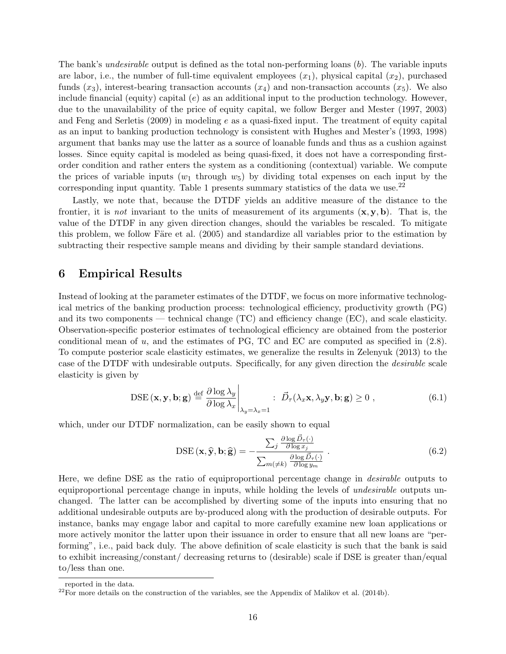The bank's *undesirable* output is defined as the total non-performing loans (b). The variable inputs are labor, i.e., the number of full-time equivalent employees  $(x_1)$ , physical capital  $(x_2)$ , purchased funds  $(x_3)$ , interest-bearing transaction accounts  $(x_4)$  and non-transaction accounts  $(x_5)$ . We also include financial (equity) capital  $(e)$  as an additional input to the production technology. However, due to the unavailability of the price of equity capital, we follow Berger and Mester (1997, 2003) and Feng and Serletis  $(2009)$  in modeling e as a quasi-fixed input. The treatment of equity capital as an input to banking production technology is consistent with Hughes and Mester's (1993, 1998) argument that banks may use the latter as a source of loanable funds and thus as a cushion against losses. Since equity capital is modeled as being quasi-fixed, it does not have a corresponding firstorder condition and rather enters the system as a conditioning (contextual) variable. We compute the prices of variable inputs  $(w_1$  through  $w_5$ ) by dividing total expenses on each input by the corresponding input quantity. Table 1 presents summary statistics of the data we use. $^{22}$ 

Lastly, we note that, because the DTDF yields an additive measure of the distance to the frontier, it is *not* invariant to the units of measurement of its arguments  $(x, y, b)$ . That is, the value of the DTDF in any given direction changes, should the variables be rescaled. To mitigate this problem, we follow Färe et al. (2005) and standardize all variables prior to the estimation by subtracting their respective sample means and dividing by their sample standard deviations.

### 6 Empirical Results

Instead of looking at the parameter estimates of the DTDF, we focus on more informative technological metrics of the banking production process: technological efficiency, productivity growth (PG) and its two components — technical change (TC) and efficiency change (EC), and scale elasticity. Observation-specific posterior estimates of technological efficiency are obtained from the posterior conditional mean of  $u$ , and the estimates of PG, TC and EC are computed as specified in  $(2.8)$ . To compute posterior scale elasticity estimates, we generalize the results in Zelenyuk (2013) to the case of the DTDF with undesirable outputs. Specifically, for any given direction the desirable scale elasticity is given by

$$
\text{DSE}(\mathbf{x}, \mathbf{y}, \mathbf{b}; \mathbf{g}) \stackrel{\text{def}}{=} \frac{\partial \log \lambda_y}{\partial \log \lambda_x} \bigg|_{\lambda_y = \lambda_x = 1} : \vec{D}_{\tau}(\lambda_x \mathbf{x}, \lambda_y \mathbf{y}, \mathbf{b}; \mathbf{g}) \ge 0 , \tag{6.1}
$$

which, under our DTDF normalization, can be easily shown to equal

$$
\text{DSE}(\mathbf{x}, \hat{\mathbf{y}}, \mathbf{b}; \hat{\mathbf{g}}) = -\frac{\sum_{j} \frac{\partial \log \vec{D}_{\tau}(\cdot)}{\partial \log x_{j}}}{\sum_{m(\neq k)} \frac{\partial \log \vec{D}_{\tau}(\cdot)}{\partial \log y_{m}}}.
$$
(6.2)

Here, we define DSE as the ratio of equiproportional percentage change in desirable outputs to equiproportional percentage change in inputs, while holding the levels of *undesirable* outputs unchanged. The latter can be accomplished by diverting some of the inputs into ensuring that no additional undesirable outputs are by-produced along with the production of desirable outputs. For instance, banks may engage labor and capital to more carefully examine new loan applications or more actively monitor the latter upon their issuance in order to ensure that all new loans are "performing", i.e., paid back duly. The above definition of scale elasticity is such that the bank is said to exhibit increasing/constant/ decreasing returns to (desirable) scale if DSE is greater than/equal to/less than one.

reported in the data.

 $22$ For more details on the construction of the variables, see the Appendix of Malikov et al. (2014b).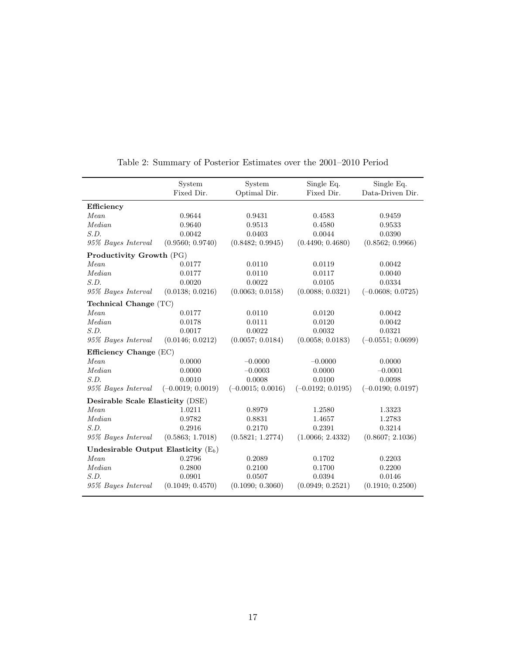|                                       | System<br>Fixed Dir. | System<br>Optimal Dir. | Single Eq.<br>Fixed Dir. | Single Eq.<br>Data-Driven Dir. |  |  |  |  |
|---------------------------------------|----------------------|------------------------|--------------------------|--------------------------------|--|--|--|--|
|                                       |                      |                        |                          |                                |  |  |  |  |
| Efficiency                            |                      |                        |                          |                                |  |  |  |  |
| Mean                                  | 0.9644               | 0.9431                 | 0.4583                   | 0.9459                         |  |  |  |  |
| Median                                | 0.9640               | 0.9513                 | 0.4580                   | 0.9533                         |  |  |  |  |
| S.D.                                  | 0.0042               | 0.0403                 | 0.0044                   | 0.0390                         |  |  |  |  |
| 95% Bayes Interval                    | (0.9560; 0.9740)     | (0.8482; 0.9945)       | (0.4490; 0.4680)         | (0.8562; 0.9966)               |  |  |  |  |
| <b>Productivity Growth</b> (PG)       |                      |                        |                          |                                |  |  |  |  |
| Mean                                  | 0.0177               | 0.0110                 | 0.0119                   | 0.0042                         |  |  |  |  |
| <i>Median</i>                         | 0.0177               | 0.0110                 | 0.0117                   | 0.0040                         |  |  |  |  |
| S.D.                                  | 0.0020               | 0.0022                 | 0.0105                   | 0.0334                         |  |  |  |  |
| 95% Bayes Interval                    | (0.0138; 0.0216)     | (0.0063; 0.0158)       | (0.0088; 0.0321)         | $(-0.0608; 0.0725)$            |  |  |  |  |
| Technical Change $(TC)$               |                      |                        |                          |                                |  |  |  |  |
| Mean                                  | 0.0177               | 0.0110                 | 0.0120                   | 0.0042                         |  |  |  |  |
| Median                                | 0.0178               | 0.0111                 | 0.0120                   | 0.0042                         |  |  |  |  |
| S.D.                                  | 0.0017               | 0.0022                 | 0.0032                   | 0.0321                         |  |  |  |  |
| 95% Bayes Interval                    | (0.0146; 0.0212)     | (0.0057; 0.0184)       | (0.0058; 0.0183)         | $(-0.0551; 0.0699)$            |  |  |  |  |
| Efficiency Change $(EC)$              |                      |                        |                          |                                |  |  |  |  |
| Mean                                  | 0.0000               | $-0.0000$              | $-0.0000$                | 0.0000                         |  |  |  |  |
| Median                                | 0.0000               | $-0.0003$              | 0.0000                   | $-0.0001$                      |  |  |  |  |
| S.D.                                  | 0.0010               | 0.0008                 | 0.0100                   | 0.0098                         |  |  |  |  |
| 95% Bayes Interval                    | $(-0.0019; 0.0019)$  | $(-0.0015; 0.0016)$    | $(-0.0192; 0.0195)$      | $(-0.0190; 0.0197)$            |  |  |  |  |
| Desirable Scale Elasticity (DSE)      |                      |                        |                          |                                |  |  |  |  |
| Mean                                  | 1.0211               | 0.8979                 | 1.2580                   | 1.3323                         |  |  |  |  |
| Median                                | 0.9782               | 0.8831                 | 1.4657                   | 1.2783                         |  |  |  |  |
| S.D.                                  | 0.2916               | 0.2170                 | 0.2391                   | 0.3214                         |  |  |  |  |
| 95% Bayes Interval                    | (0.5863; 1.7018)     | (0.5821; 1.2774)       | (1.0066; 2.4332)         | (0.8607; 2.1036)               |  |  |  |  |
| Undesirable Output Elasticity $(E_b)$ |                      |                        |                          |                                |  |  |  |  |
| Mean                                  | 0.2796               | 0.2089                 | 0.1702                   | 0.2203                         |  |  |  |  |
| Median                                | 0.2800               | 0.2100                 | 0.1700                   | 0.2200                         |  |  |  |  |
| S.D.                                  | 0.0901               | 0.0507                 | 0.0394                   | 0.0146                         |  |  |  |  |
| 95% Bayes Interval                    | (0.1049; 0.4570)     | (0.1090; 0.3060)       | (0.0949; 0.2521)         | (0.1910; 0.2500)               |  |  |  |  |

|  |  |  |  | Table 2: Summary of Posterior Estimates over the 2001–2010 Period |  |  |  |  |  |  |  |
|--|--|--|--|-------------------------------------------------------------------|--|--|--|--|--|--|--|
|--|--|--|--|-------------------------------------------------------------------|--|--|--|--|--|--|--|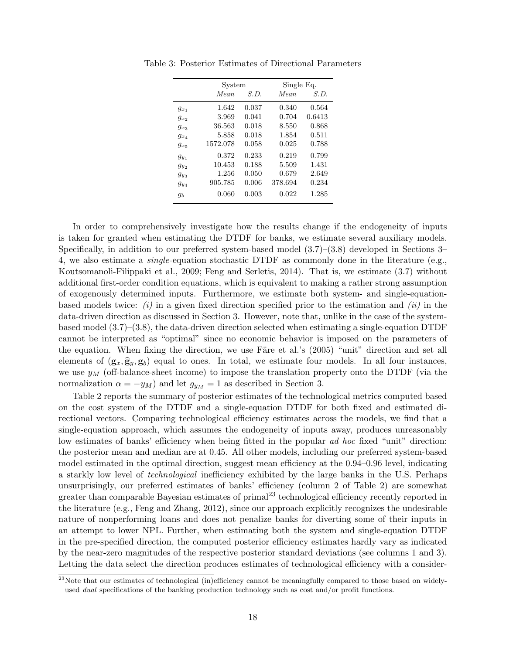|           | System   |       | Single Eq.  |        |  |
|-----------|----------|-------|-------------|--------|--|
|           | Mean     | S.D.  | <i>Mean</i> | S.D.   |  |
| $g_{x_1}$ | 1.642    | 0.037 | 0.340       | 0.564  |  |
| $g_{x_2}$ | 3.969    | 0.041 | 0.704       | 0.6413 |  |
| $g_{x_3}$ | 36.563   | 0.018 | 8.550       | 0.868  |  |
| $g_{x_4}$ | 5.858    | 0.018 | 1.854       | 0.511  |  |
| $g_{x5}$  | 1572.078 | 0.058 | 0.025       | 0.788  |  |
| $g_{u_1}$ | 0.372    | 0.233 | 0.219       | 0.799  |  |
| $g_{y_2}$ | 10.453   | 0.188 | 5.509       | 1.431  |  |
| $g_{y_3}$ | 1.256    | 0.050 | 0.679       | 2.649  |  |
| $g_{u_4}$ | 905.785  | 0.006 | 378.694     | 0.234  |  |
| gь        | 0.060    | 0.003 | 0.022       | 1.285  |  |

Table 3: Posterior Estimates of Directional Parameters

In order to comprehensively investigate how the results change if the endogeneity of inputs is taken for granted when estimating the DTDF for banks, we estimate several auxiliary models. Specifically, in addition to our preferred system-based model (3.7)–(3.8) developed in Sections 3– 4, we also estimate a single-equation stochastic DTDF as commonly done in the literature (e.g., Koutsomanoli-Filippaki et al., 2009; Feng and Serletis, 2014). That is, we estimate (3.7) without additional first-order condition equations, which is equivalent to making a rather strong assumption of exogenously determined inputs. Furthermore, we estimate both system- and single-equationbased models twice:  $(i)$  in a given fixed direction specified prior to the estimation and  $(ii)$  in the data-driven direction as discussed in Section 3. However, note that, unlike in the case of the systembased model  $(3.7)$ – $(3.8)$ , the data-driven direction selected when estimating a single-equation DTDF cannot be interpreted as "optimal" since no economic behavior is imposed on the parameters of the equation. When fixing the direction, we use Färe et al.'s  $(2005)$  "unit" direction and set all elements of  $(g_x, \hat{g}_y, g_b)$  equal to ones. In total, we estimate four models. In all four instances, we use  $y_M$  (off-balance-sheet income) to impose the translation property onto the DTDF (via the normalization  $\alpha = -y_M$ ) and let  $g_{y_M} = 1$  as described in Section 3.

Table 2 reports the summary of posterior estimates of the technological metrics computed based on the cost system of the DTDF and a single-equation DTDF for both fixed and estimated directional vectors. Comparing technological efficiency estimates across the models, we find that a single-equation approach, which assumes the endogeneity of inputs away, produces unreasonably low estimates of banks' efficiency when being fitted in the popular ad hoc fixed "unit" direction: the posterior mean and median are at 0.45. All other models, including our preferred system-based model estimated in the optimal direction, suggest mean efficiency at the 0.94–0.96 level, indicating a starkly low level of technological inefficiency exhibited by the large banks in the U.S. Perhaps unsurprisingly, our preferred estimates of banks' efficiency (column 2 of Table 2) are somewhat greater than comparable Bayesian estimates of primal<sup>23</sup> technological efficiency recently reported in the literature (e.g., Feng and Zhang, 2012), since our approach explicitly recognizes the undesirable nature of nonperforming loans and does not penalize banks for diverting some of their inputs in an attempt to lower NPL. Further, when estimating both the system and single-equation DTDF in the pre-specified direction, the computed posterior efficiency estimates hardly vary as indicated by the near-zero magnitudes of the respective posterior standard deviations (see columns 1 and 3). Letting the data select the direction produces estimates of technological efficiency with a consider-

 $^{23}$ Note that our estimates of technological (in)efficiency cannot be meaningfully compared to those based on widelyused *dual* specifications of the banking production technology such as cost and/or profit functions.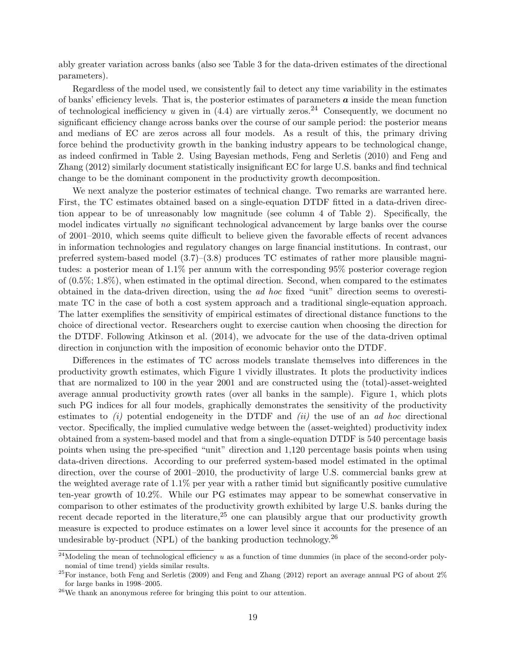ably greater variation across banks (also see Table 3 for the data-driven estimates of the directional parameters).

Regardless of the model used, we consistently fail to detect any time variability in the estimates of banks' efficiency levels. That is, the posterior estimates of parameters  $\boldsymbol{a}$  inside the mean function of technological inefficiency u given in  $(4.4)$  are virtually zeros.<sup>24</sup> Consequently, we document no significant efficiency change across banks over the course of our sample period: the posterior means and medians of EC are zeros across all four models. As a result of this, the primary driving force behind the productivity growth in the banking industry appears to be technological change, as indeed confirmed in Table 2. Using Bayesian methods, Feng and Serletis (2010) and Feng and Zhang (2012) similarly document statistically insignificant EC for large U.S. banks and find technical change to be the dominant component in the productivity growth decomposition.

We next analyze the posterior estimates of technical change. Two remarks are warranted here. First, the TC estimates obtained based on a single-equation DTDF fitted in a data-driven direction appear to be of unreasonably low magnitude (see column 4 of Table 2). Specifically, the model indicates virtually no significant technological advancement by large banks over the course of 2001–2010, which seems quite difficult to believe given the favorable effects of recent advances in information technologies and regulatory changes on large financial institutions. In contrast, our preferred system-based model (3.7)–(3.8) produces TC estimates of rather more plausible magnitudes: a posterior mean of 1.1% per annum with the corresponding 95% posterior coverage region of (0.5%; 1.8%), when estimated in the optimal direction. Second, when compared to the estimates obtained in the data-driven direction, using the ad hoc fixed "unit" direction seems to overestimate TC in the case of both a cost system approach and a traditional single-equation approach. The latter exemplifies the sensitivity of empirical estimates of directional distance functions to the choice of directional vector. Researchers ought to exercise caution when choosing the direction for the DTDF. Following Atkinson et al. (2014), we advocate for the use of the data-driven optimal direction in conjunction with the imposition of economic behavior onto the DTDF.

Differences in the estimates of TC across models translate themselves into differences in the productivity growth estimates, which Figure 1 vividly illustrates. It plots the productivity indices that are normalized to 100 in the year 2001 and are constructed using the (total)-asset-weighted average annual productivity growth rates (over all banks in the sample). Figure 1, which plots such PG indices for all four models, graphically demonstrates the sensitivity of the productivity estimates to  $(i)$  potential endogeneity in the DTDF and  $(ii)$  the use of an *ad hoc* directional vector. Specifically, the implied cumulative wedge between the (asset-weighted) productivity index obtained from a system-based model and that from a single-equation DTDF is 540 percentage basis points when using the pre-specified "unit" direction and 1,120 percentage basis points when using data-driven directions. According to our preferred system-based model estimated in the optimal direction, over the course of 2001–2010, the productivity of large U.S. commercial banks grew at the weighted average rate of  $1.1\%$  per year with a rather timid but significantly positive cumulative ten-year growth of 10.2%. While our PG estimates may appear to be somewhat conservative in comparison to other estimates of the productivity growth exhibited by large U.S. banks during the recent decade reported in the literature,<sup>25</sup> one can plausibly argue that our productivity growth measure is expected to produce estimates on a lower level since it accounts for the presence of an undesirable by-product (NPL) of the banking production technology.<sup>26</sup>

<sup>&</sup>lt;sup>24</sup>Modeling the mean of technological efficiency u as a function of time dummies (in place of the second-order polynomial of time trend) yields similar results.

 $^{25}$ For instance, both Feng and Serletis (2009) and Feng and Zhang (2012) report an average annual PG of about 2% for large banks in 1998–2005.

 $^{26}\mathrm{We}$  thank an anonymous referee for bringing this point to our attention.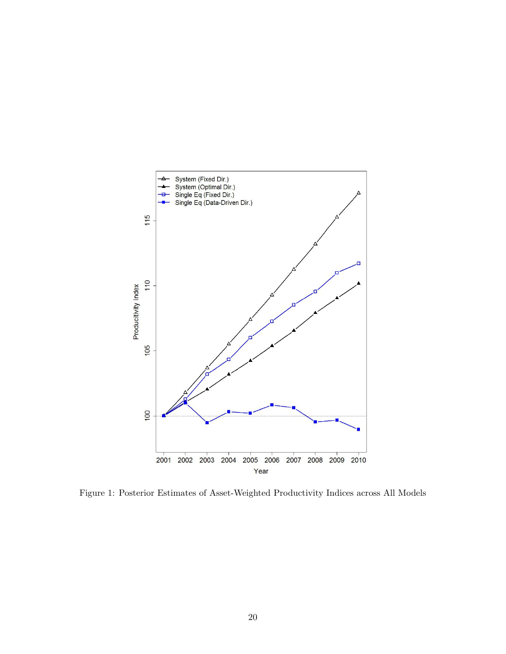

Figure 1: Posterior Estimates of Asset-Weighted Productivity Indices across All Models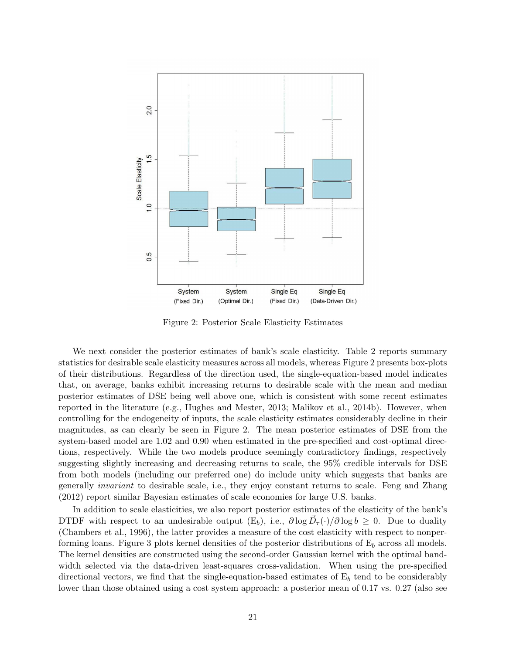

Figure 2: Posterior Scale Elasticity Estimates

We next consider the posterior estimates of bank's scale elasticity. Table 2 reports summary statistics for desirable scale elasticity measures across all models, whereas Figure 2 presents box-plots of their distributions. Regardless of the direction used, the single-equation-based model indicates that, on average, banks exhibit increasing returns to desirable scale with the mean and median posterior estimates of DSE being well above one, which is consistent with some recent estimates reported in the literature (e.g., Hughes and Mester, 2013; Malikov et al., 2014b). However, when controlling for the endogeneity of inputs, the scale elasticity estimates considerably decline in their magnitudes, as can clearly be seen in Figure 2. The mean posterior estimates of DSE from the system-based model are 1.02 and 0.90 when estimated in the pre-specified and cost-optimal directions, respectively. While the two models produce seemingly contradictory findings, respectively suggesting slightly increasing and decreasing returns to scale, the 95% credible intervals for DSE from both models (including our preferred one) do include unity which suggests that banks are generally invariant to desirable scale, i.e., they enjoy constant returns to scale. Feng and Zhang (2012) report similar Bayesian estimates of scale economies for large U.S. banks.

In addition to scale elasticities, we also report posterior estimates of the elasticity of the bank's DTDF with respect to an undesirable output  $(E_b)$ , i.e.,  $\partial \log \vec{D}_{\tau}(\cdot)/\partial \log b \geq 0$ . Due to duality (Chambers et al., 1996), the latter provides a measure of the cost elasticity with respect to nonperforming loans. Figure 3 plots kernel densities of the posterior distributions of  $E_b$  across all models. The kernel densities are constructed using the second-order Gaussian kernel with the optimal bandwidth selected via the data-driven least-squares cross-validation. When using the pre-specified directional vectors, we find that the single-equation-based estimates of  $E_b$  tend to be considerably lower than those obtained using a cost system approach: a posterior mean of 0.17 vs. 0.27 (also see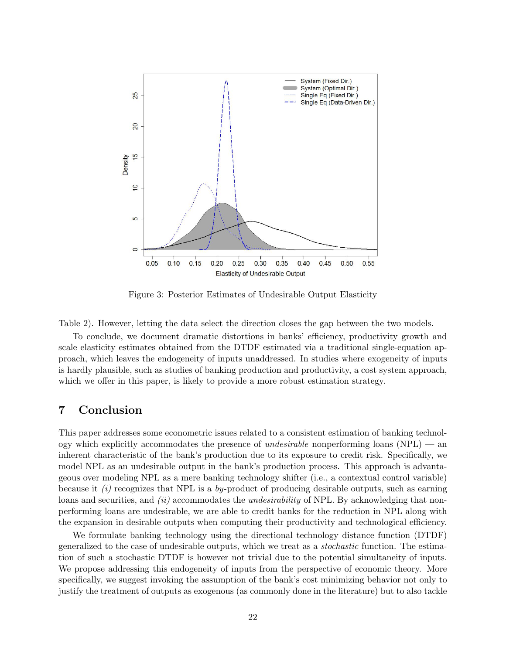

Figure 3: Posterior Estimates of Undesirable Output Elasticity

Table 2). However, letting the data select the direction closes the gap between the two models.

To conclude, we document dramatic distortions in banks' efficiency, productivity growth and scale elasticity estimates obtained from the DTDF estimated via a traditional single-equation approach, which leaves the endogeneity of inputs unaddressed. In studies where exogeneity of inputs is hardly plausible, such as studies of banking production and productivity, a cost system approach, which we offer in this paper, is likely to provide a more robust estimation strategy.

## 7 Conclusion

This paper addresses some econometric issues related to a consistent estimation of banking technology which explicitly accommodates the presence of *undesirable* nonperforming loans ( $NPL$ ) — an inherent characteristic of the bank's production due to its exposure to credit risk. Specifically, we model NPL as an undesirable output in the bank's production process. This approach is advantageous over modeling NPL as a mere banking technology shifter (i.e., a contextual control variable) because it  $(i)$  recognizes that NPL is a by-product of producing desirable outputs, such as earning loans and securities, and *(ii)* accommodates the *undesirability* of NPL. By acknowledging that nonperforming loans are undesirable, we are able to credit banks for the reduction in NPL along with the expansion in desirable outputs when computing their productivity and technological efficiency.

We formulate banking technology using the directional technology distance function (DTDF) generalized to the case of undesirable outputs, which we treat as a stochastic function. The estimation of such a stochastic DTDF is however not trivial due to the potential simultaneity of inputs. We propose addressing this endogeneity of inputs from the perspective of economic theory. More specifically, we suggest invoking the assumption of the bank's cost minimizing behavior not only to justify the treatment of outputs as exogenous (as commonly done in the literature) but to also tackle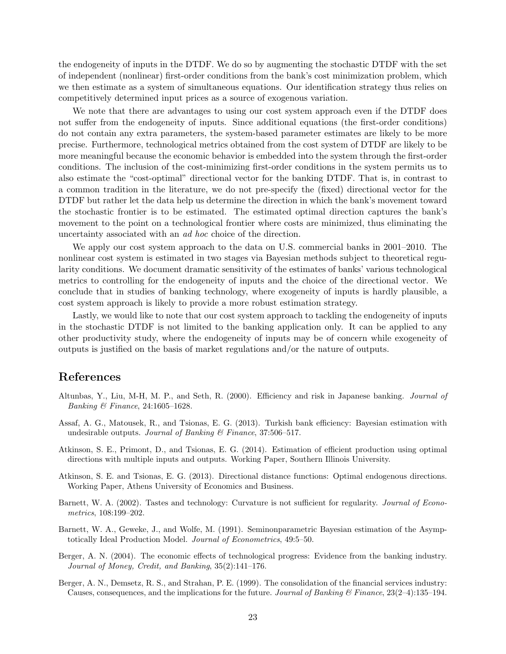the endogeneity of inputs in the DTDF. We do so by augmenting the stochastic DTDF with the set of independent (nonlinear) first-order conditions from the bank's cost minimization problem, which we then estimate as a system of simultaneous equations. Our identification strategy thus relies on competitively determined input prices as a source of exogenous variation.

We note that there are advantages to using our cost system approach even if the DTDF does not suffer from the endogeneity of inputs. Since additional equations (the first-order conditions) do not contain any extra parameters, the system-based parameter estimates are likely to be more precise. Furthermore, technological metrics obtained from the cost system of DTDF are likely to be more meaningful because the economic behavior is embedded into the system through the first-order conditions. The inclusion of the cost-minimizing first-order conditions in the system permits us to also estimate the "cost-optimal" directional vector for the banking DTDF. That is, in contrast to a common tradition in the literature, we do not pre-specify the (fixed) directional vector for the DTDF but rather let the data help us determine the direction in which the bank's movement toward the stochastic frontier is to be estimated. The estimated optimal direction captures the bank's movement to the point on a technological frontier where costs are minimized, thus eliminating the uncertainty associated with an ad hoc choice of the direction.

We apply our cost system approach to the data on U.S. commercial banks in 2001–2010. The nonlinear cost system is estimated in two stages via Bayesian methods subject to theoretical regularity conditions. We document dramatic sensitivity of the estimates of banks' various technological metrics to controlling for the endogeneity of inputs and the choice of the directional vector. We conclude that in studies of banking technology, where exogeneity of inputs is hardly plausible, a cost system approach is likely to provide a more robust estimation strategy.

Lastly, we would like to note that our cost system approach to tackling the endogeneity of inputs in the stochastic DTDF is not limited to the banking application only. It can be applied to any other productivity study, where the endogeneity of inputs may be of concern while exogeneity of outputs is justified on the basis of market regulations and/or the nature of outputs.

## References

- Altunbas, Y., Liu, M-H, M. P., and Seth, R. (2000). Efficiency and risk in Japanese banking. Journal of Banking & Finance, 24:1605–1628.
- Assaf, A. G., Matousek, R., and Tsionas, E. G. (2013). Turkish bank efficiency: Bayesian estimation with undesirable outputs. Journal of Banking  $\mathcal B$  Finance, 37:506-517.
- Atkinson, S. E., Primont, D., and Tsionas, E. G. (2014). Estimation of efficient production using optimal directions with multiple inputs and outputs. Working Paper, Southern Illinois University.
- Atkinson, S. E. and Tsionas, E. G. (2013). Directional distance functions: Optimal endogenous directions. Working Paper, Athens University of Economics and Business.
- Barnett, W. A. (2002). Tastes and technology: Curvature is not sufficient for regularity. Journal of Econometrics, 108:199–202.
- Barnett, W. A., Geweke, J., and Wolfe, M. (1991). Seminonparametric Bayesian estimation of the Asymptotically Ideal Production Model. Journal of Econometrics, 49:5–50.
- Berger, A. N. (2004). The economic effects of technological progress: Evidence from the banking industry. Journal of Money, Credit, and Banking, 35(2):141–176.
- Berger, A. N., Demsetz, R. S., and Strahan, P. E. (1999). The consolidation of the financial services industry: Causes, consequences, and the implications for the future. Journal of Banking & Finance,  $23(2-4):135-194$ .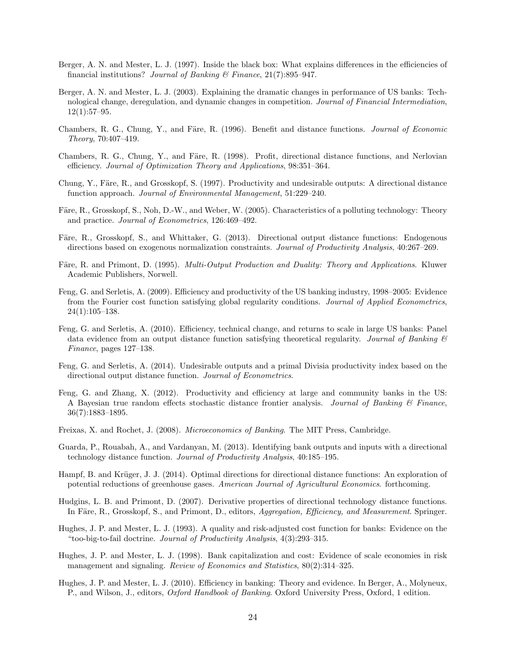- Berger, A. N. and Mester, L. J. (1997). Inside the black box: What explains differences in the efficiencies of financial institutions? Journal of Banking & Finance,  $21(7)$ :895-947.
- Berger, A. N. and Mester, L. J. (2003). Explaining the dramatic changes in performance of US banks: Technological change, deregulation, and dynamic changes in competition. Journal of Financial Intermediation,  $12(1):57-95.$
- Chambers, R. G., Chung, Y., and Färe, R. (1996). Benefit and distance functions. Journal of Economic Theory, 70:407–419.
- Chambers, R. G., Chung, Y., and Färe, R. (1998). Profit, directional distance functions, and Nerlovian efficiency. Journal of Optimization Theory and Applications, 98:351–364.
- Chung, Y., Färe, R., and Grosskopf, S. (1997). Productivity and undesirable outputs: A directional distance function approach. Journal of Environmental Management, 51:229–240.
- Färe, R., Grosskopf, S., Noh, D.-W., and Weber, W. (2005). Characteristics of a polluting technology: Theory and practice. Journal of Econometrics, 126:469–492.
- Färe, R., Grosskopf, S., and Whittaker, G. (2013). Directional output distance functions: Endogenous directions based on exogenous normalization constraints. Journal of Productivity Analysis, 40:267–269.
- Färe, R. and Primont, D. (1995). *Multi-Output Production and Duality: Theory and Applications.* Kluwer Academic Publishers, Norwell.
- Feng, G. and Serletis, A. (2009). Efficiency and productivity of the US banking industry, 1998–2005: Evidence from the Fourier cost function satisfying global regularity conditions. Journal of Applied Econometrics, 24(1):105–138.
- Feng, G. and Serletis, A. (2010). Efficiency, technical change, and returns to scale in large US banks: Panel data evidence from an output distance function satisfying theoretical regularity. Journal of Banking  $\mathcal{C}$ Finance, pages 127–138.
- Feng, G. and Serletis, A. (2014). Undesirable outputs and a primal Divisia productivity index based on the directional output distance function. Journal of Econometrics.
- Feng, G. and Zhang, X. (2012). Productivity and efficiency at large and community banks in the US: A Bayesian true random effects stochastic distance frontier analysis. Journal of Banking  $\mathcal{C}_{F}$  Finance, 36(7):1883–1895.
- Freixas, X. and Rochet, J. (2008). Microeconomics of Banking. The MIT Press, Cambridge.
- Guarda, P., Rouabah, A., and Vardanyan, M. (2013). Identifying bank outputs and inputs with a directional technology distance function. Journal of Productivity Analysis, 40:185–195.
- Hampf, B. and Krüger, J. J. (2014). Optimal directions for directional distance functions: An exploration of potential reductions of greenhouse gases. American Journal of Agricultural Economics. forthcoming.
- Hudgins, L. B. and Primont, D. (2007). Derivative properties of directional technology distance functions. In Färe, R., Grosskopf, S., and Primont, D., editors, Aggregation, Efficiency, and Measurement. Springer.
- Hughes, J. P. and Mester, L. J. (1993). A quality and risk-adjusted cost function for banks: Evidence on the "too-big-to-fail doctrine. Journal of Productivity Analysis, 4(3):293–315.
- Hughes, J. P. and Mester, L. J. (1998). Bank capitalization and cost: Evidence of scale economies in risk management and signaling. *Review of Economics and Statistics*,  $80(2):314-325$ .
- Hughes, J. P. and Mester, L. J. (2010). Efficiency in banking: Theory and evidence. In Berger, A., Molyneux, P., and Wilson, J., editors, Oxford Handbook of Banking. Oxford University Press, Oxford, 1 edition.